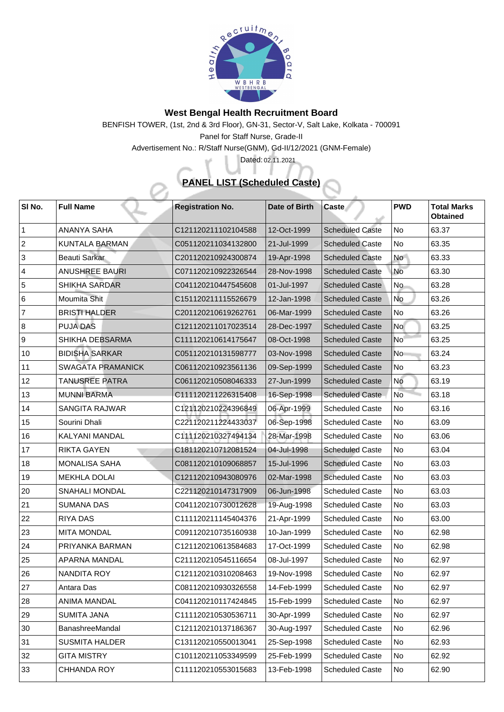

## **West Bengal Health Recruitment Board**

BENFISH TOWER, (1st, 2nd & 3rd Floor), GN-31, Sector-V, Salt Lake, Kolkata - 700091

Panel for Staff Nurse, Grade-II

Advertisement No.: R/Staff Nurse(GNM), Gd-II/12/2021 (GNM-Female)

## **PANEL LIST (Scheduled Caste)**

Dated: 02.11.2021

| SI No.         | <b>Full Name</b>         | <b>Registration No.</b> | <b>Date of Birth</b> | <b>Caste</b>           | <b>PWD</b>      | <b>Total Marks</b><br><b>Obtained</b> |
|----------------|--------------------------|-------------------------|----------------------|------------------------|-----------------|---------------------------------------|
|                | <b>ANANYA SAHA</b>       | C121120211102104588     | 12-Oct-1999          | <b>Scheduled Caste</b> | N <sub>o</sub>  | 63.37                                 |
| 2              | <b>KUNTALA BARMAN</b>    | C051120211034132800     | 21-Jul-1999          | <b>Scheduled Caste</b> | No              | 63.35                                 |
| $\mathbf{3}$   | <b>Beauti Sarkar</b>     | C201120210924300874     | 19-Apr-1998          | <b>Scheduled Caste</b> | <b>No</b>       | 63.33                                 |
| $\overline{4}$ | <b>ANUSHREE BAURI</b>    | C071120210922326544     | 28-Nov-1998          | <b>Scheduled Caste</b> | No              | 63.30                                 |
| 5              | <b>SHIKHA SARDAR</b>     | C041120210447545608     | 01-Jul-1997          | <b>Scheduled Caste</b> | No.             | 63.28                                 |
| 6              | Moumita Shit             | C151120211115526679     | 12-Jan-1998          | <b>Scheduled Caste</b> | <b>No</b>       | 63.26                                 |
| $\overline{7}$ | <b>BRISTI HALDER</b>     | C201120210619262761     | 06-Mar-1999          | <b>Scheduled Caste</b> | No              | 63.26                                 |
| 8              | <b>PUJA DAS</b>          | C121120211017023514     | 28-Dec-1997          | <b>Scheduled Caste</b> | No              | 63.25                                 |
| 9              | <b>SHIKHA DEBSARMA</b>   | C111120210614175647     | 08-Oct-1998          | <b>Scheduled Caste</b> | No <sup>-</sup> | 63.25                                 |
| 10             | <b>BIDISHA SARKAR</b>    | C051120210131598777     | 03-Nov-1998          | <b>Scheduled Caste</b> | N <sub>o</sub>  | 63.24                                 |
| 11             | <b>SWAGATA PRAMANICK</b> | C061120210923561136     | 09-Sep-1999          | <b>Scheduled Caste</b> | No              | 63.23                                 |
| 12             | <b>TANUSREE PATRA</b>    | C061120210508046333     | 27-Jun-1999          | <b>Scheduled Caste</b> | No              | 63.19                                 |
| 13             | <b>MUNNI BARMA</b>       | C111120211226315408     | 16-Sep-1998          | <b>Scheduled Caste</b> | <b>No</b>       | 63.18                                 |
| 14             | <b>SANGITA RAJWAR</b>    | C121120210224396849     | 06-Apr-1999          | <b>Scheduled Caste</b> | No              | 63.16                                 |
| 15             | Sourini Dhali            | C221120211224433037     | 06-Sep-1998          | <b>Scheduled Caste</b> | No              | 63.09                                 |
| 16             | <b>KALYANI MANDAL</b>    | C111120210327494134     | 28-Mar-1998          | <b>Scheduled Caste</b> | N <sub>o</sub>  | 63.06                                 |
| 17             | <b>RIKTA GAYEN</b>       | C181120210712081524     | 04-Jul-1998          | <b>Scheduled Caste</b> | No              | 63.04                                 |
| 18             | <b>MONALISA SAHA</b>     | C081120210109068857     | 15-Jul-1996          | <b>Scheduled Caste</b> | No              | 63.03                                 |
| 19             | <b>MEKHLA DOLAI</b>      | C121120210943080976     | 02-Mar-1998          | <b>Scheduled Caste</b> | No              | 63.03                                 |
| 20             | <b>SNAHALI MONDAL</b>    | C221120210147317909     | 06-Jun-1998          | <b>Scheduled Caste</b> | No              | 63.03                                 |
| 21             | <b>SUMANA DAS</b>        | C041120210730012628     | 19-Aug-1998          | <b>Scheduled Caste</b> | No              | 63.03                                 |
| 22             | <b>RIYA DAS</b>          | C111120211145404376     | 21-Apr-1999          | <b>Scheduled Caste</b> | No              | 63.00                                 |
| 23             | <b>MITA MONDAL</b>       | C091120210735160938     | 10-Jan-1999          | <b>Scheduled Caste</b> | No              | 62.98                                 |
| 24             | PRIYANKA BARMAN          | C121120210613584683     | 17-Oct-1999          | <b>Scheduled Caste</b> | No              | 62.98                                 |
| 25             | <b>APARNA MANDAL</b>     | C211120210545116654     | 08-Jul-1997          | <b>Scheduled Caste</b> | No              | 62.97                                 |
| 26             | <b>NANDITA ROY</b>       | C121120210310208463     | 19-Nov-1998          | <b>Scheduled Caste</b> | <b>No</b>       | 62.97                                 |
| 27             | <b>Antara Das</b>        | C081120210930326558     | 14-Feb-1999          | <b>Scheduled Caste</b> | No              | 62.97                                 |
| 28             | <b>ANIMA MANDAL</b>      | C041120210117424845     | 15-Feb-1999          | <b>Scheduled Caste</b> | No              | 62.97                                 |
| 29             | <b>SUMITA JANA</b>       | C111120210530536711     | 30-Apr-1999          | <b>Scheduled Caste</b> | No              | 62.97                                 |
| 30             | <b>BanashreeMandal</b>   | C121120210137186367     | 30-Aug-1997          | <b>Scheduled Caste</b> | No              | 62.96                                 |
| 31             | <b>SUSMITA HALDER</b>    | C131120210550013041     | 25-Sep-1998          | <b>Scheduled Caste</b> | No              | 62.93                                 |
| 32             | <b>GITA MISTRY</b>       | C101120211053349599     | 25-Feb-1999          | <b>Scheduled Caste</b> | No              | 62.92                                 |
| 33             | <b>CHHANDA ROY</b>       | C111120210553015683     | 13-Feb-1998          | <b>Scheduled Caste</b> | No              | 62.90                                 |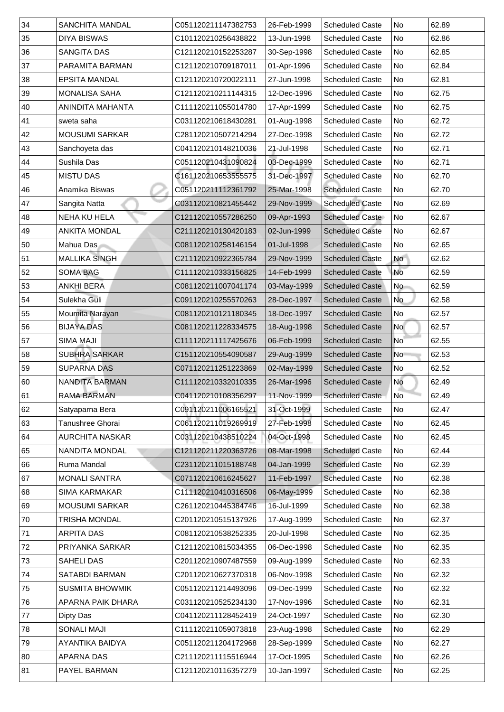| $\vert$ 34   | <b>SANCHITA MANDAL</b> | C051120211147382753 | 26-Feb-1999 | <b>Scheduled Caste</b> | No             | 62.89 |
|--------------|------------------------|---------------------|-------------|------------------------|----------------|-------|
| 35           | <b>DIYA BISWAS</b>     | C101120210256438822 | 13-Jun-1998 | <b>Scheduled Caste</b> | No             | 62.86 |
| 36           | <b>SANGITA DAS</b>     | C121120210152253287 | 30-Sep-1998 | <b>Scheduled Caste</b> | <b>No</b>      | 62.85 |
| 37           | PARAMITA BARMAN        | C121120210709187011 | 01-Apr-1996 | <b>Scheduled Caste</b> | No             | 62.84 |
| 38           | <b>EPSITA MANDAL</b>   | C121120210720022111 | 27-Jun-1998 | <b>Scheduled Caste</b> | <b>No</b>      | 62.81 |
| 39           | <b>MONALISA SAHA</b>   | C121120210211144315 | 12-Dec-1996 | <b>Scheduled Caste</b> | No             | 62.75 |
| 40           | ANINDITA MAHANTA       | C111120211055014780 | 17-Apr-1999 | <b>Scheduled Caste</b> | No             | 62.75 |
| 41           | sweta saha             | C031120210618430281 | 01-Aug-1998 | <b>Scheduled Caste</b> | <b>No</b>      | 62.72 |
| 42           | <b>MOUSUMI SARKAR</b>  | C281120210507214294 | 27-Dec-1998 | <b>Scheduled Caste</b> | <b>No</b>      | 62.72 |
| 43           | Sanchoyeta das         | C041120210148210036 | 21-Jul-1998 | <b>Scheduled Caste</b> | <b>No</b>      | 62.71 |
| 44           | <b>Sushila Das</b>     | C051120210431090824 | 03-Dec-1999 | <b>Scheduled Caste</b> | No             | 62.71 |
| 45           | <b>MISTU DAS</b>       | C161120210653555575 | 31-Dec-1997 | <b>Scheduled Caste</b> | <b>No</b>      | 62.70 |
| 46           | Anamika Biswas         | C051120211112361792 | 25-Mar-1998 | <b>Scheduled Caste</b> | <b>No</b>      | 62.70 |
| 47           | Sangita Natta          | C031120210821455442 | 29-Nov-1999 | <b>Scheduled Caste</b> | <b>No</b>      | 62.69 |
| 48           | <b>NEHA KU HELA</b>    | C121120210557286250 | 09-Apr-1993 | <b>Scheduled Caste</b> | No             | 62.67 |
| 49           | <b>ANKITA MONDAL</b>   | C211120210130420183 | 02-Jun-1999 | <b>Scheduled Caste</b> | No             | 62.67 |
| 50           | Mahua Das              | C081120210258146154 | 01-Jul-1998 | <b>Scheduled Caste</b> | No             | 62.65 |
| 51           | <b>MALLIKA SINGH</b>   | C211120210922365784 | 29-Nov-1999 | <b>Scheduled Caste</b> | <b>No</b>      | 62.62 |
| 52           | <b>SOMA BAG</b>        | C111120210333156825 | 14-Feb-1999 | <b>Scheduled Caste</b> | No             | 62.59 |
| 53           | <b>ANKHI BERA</b>      | C081120211007041174 | 03-May-1999 | <b>Scheduled Caste</b> | No             | 62.59 |
| 54           | Sulekha Guli           | C091120210255570263 | 28-Dec-1997 | <b>Scheduled Caste</b> | No             | 62.58 |
| 55           | Moumita Narayan        | C081120210121180345 | 18-Dec-1997 | <b>Scheduled Caste</b> | No             | 62.57 |
| 56           | <b>BIJAYA DAS</b>      | C081120211228334575 | 18-Aug-1998 | <b>Scheduled Caste</b> | <b>No</b>      | 62.57 |
| 57           | <b>SIMA MAJI</b>       | C111120211117425676 | 06-Feb-1999 | <b>Scheduled Caste</b> | No             | 62.55 |
| 58           | <b>SUBHRA SARKAR</b>   | C151120210554090587 | 29-Aug-1999 | <b>Scheduled Caste</b> | N <sub>o</sub> | 62.53 |
| 59           | <b>SUPARNA DAS</b>     | C071120211251223869 | 02-May-1999 | <b>Scheduled Caste</b> | No             | 62.52 |
| 60           | NANDITA BARMAN         | C111120210332010335 | 26-Mar-1996 | <b>Scheduled Caste</b> | No             | 62.49 |
| $ 61\rangle$ | <b>RAMA BARMAN</b>     | C041120210108356297 | 11-Nov-1999 | <b>Scheduled Caste</b> | No             | 62.49 |
| 62           | Satyaparna Bera        | C091120211006165521 | 31-Oct-1999 | <b>Scheduled Caste</b> | No             | 62.47 |
| 63           | Tanushree Ghorai       | C061120211019269919 | 27-Feb-1998 | <b>Scheduled Caste</b> | No             | 62.45 |
| 64           | <b>AURCHITA NASKAR</b> | C031120210438510224 | 04-Oct-1998 | <b>Scheduled Caste</b> | No             | 62.45 |
| 65           | <b>NANDITA MONDAL</b>  | C121120211220363726 | 08-Mar-1998 | <b>Scheduled Caste</b> | No             | 62.44 |
| 66           | <b>Ruma Mandal</b>     | C231120211015188748 | 04-Jan-1999 | <b>Scheduled Caste</b> | No             | 62.39 |
| 67           | <b>MONALI SANTRA</b>   | C071120210616245627 | 11-Feb-1997 | <b>Scheduled Caste</b> | No             | 62.38 |
| 86           | <b>SIMA KARMAKAR</b>   | C111120210410316506 |             | <b>Scheduled Caste</b> | No             | 62.38 |
| 69           |                        |                     | 06-May-1999 |                        |                |       |
| 70           | <b>MOUSUMI SARKAR</b>  | C261120210445384746 | 16-Jul-1999 | <b>Scheduled Caste</b> | <b>No</b>      | 62.38 |
|              | TRISHA MONDAL          | C201120210515137926 | 17-Aug-1999 | <b>Scheduled Caste</b> | No             | 62.37 |
| 71           | <b>ARPITA DAS</b>      | C081120210538252335 | 20-Jul-1998 | <b>Scheduled Caste</b> | No             | 62.35 |
| 72           | PRIYANKA SARKAR        | C121120210815034355 | 06-Dec-1998 | <b>Scheduled Caste</b> | <b>No</b>      | 62.35 |
| 73           | <b>SAHELI DAS</b>      | C201120210907487559 | 09-Aug-1999 | <b>Scheduled Caste</b> | <b>No</b>      | 62.33 |
| 74           | <b>SATABDI BARMAN</b>  | C201120210627370318 | 06-Nov-1998 | <b>Scheduled Caste</b> | No             | 62.32 |
| 75           | <b>SUSMITA BHOWMIK</b> | C051120211214493096 | 09-Dec-1999 | <b>Scheduled Caste</b> | No             | 62.32 |
| 76           | APARNA PAIK DHARA      | C031120210525234130 | 17-Nov-1996 | <b>Scheduled Caste</b> | No             | 62.31 |
| 77           | Dipty Das              | C041120211128452419 | 24-Oct-1997 | <b>Scheduled Caste</b> | No.            | 62.30 |
| 78           | <b>SONALI MAJI</b>     | C111120211059073818 | 23-Aug-1998 | <b>Scheduled Caste</b> | No             | 62.29 |
| 79           | AYANTIKA BAIDYA        | C051120211204172968 | 28-Sep-1999 | <b>Scheduled Caste</b> | No             | 62.27 |
| 80           | <b>APARNA DAS</b>      | C211120211115516944 | 17-Oct-1995 | <b>Scheduled Caste</b> | No             | 62.26 |
| 81           | <b>PAYEL BARMAN</b>    | C121120210116357279 | 10-Jan-1997 | <b>Scheduled Caste</b> | No             | 62.25 |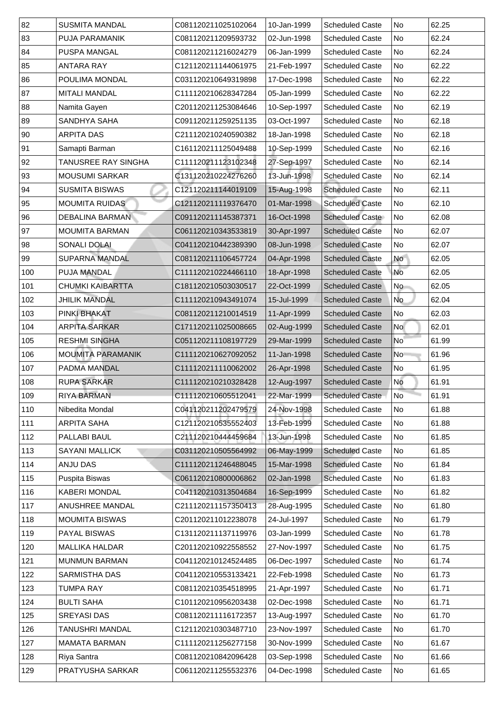| 82  | <b>SUSMITA MANDAL</b>    | C081120211025102064 | 10-Jan-1999 | <b>Scheduled Caste</b> | No                       | 62.25 |
|-----|--------------------------|---------------------|-------------|------------------------|--------------------------|-------|
| 83  | <b>PUJA PARAMANIK</b>    | C081120211209593732 | 02-Jun-1998 | <b>Scheduled Caste</b> | No                       | 62.24 |
| 84  | <b>PUSPA MANGAL</b>      | C081120211216024279 | 06-Jan-1999 | <b>Scheduled Caste</b> | No                       | 62.24 |
| 85  | <b>ANTARA RAY</b>        | C121120211144061975 | 21-Feb-1997 | <b>Scheduled Caste</b> | No                       | 62.22 |
| 86  | <b>POULIMA MONDAL</b>    | C031120210649319898 | 17-Dec-1998 | <b>Scheduled Caste</b> | No                       | 62.22 |
| 87  | <b>MITALI MANDAL</b>     | C111120210628347284 | 05-Jan-1999 | <b>Scheduled Caste</b> | No                       | 62.22 |
| 88  | Namita Gayen             | C201120211253084646 | 10-Sep-1997 | <b>Scheduled Caste</b> | No                       | 62.19 |
| 89  | <b>SANDHYA SAHA</b>      | C091120211259251135 | 03-Oct-1997 | <b>Scheduled Caste</b> | No                       | 62.18 |
| 90  | <b>ARPITA DAS</b>        | C211120210240590382 | 18-Jan-1998 | <b>Scheduled Caste</b> | No                       | 62.18 |
| 91  | Samapti Barman           | C161120211125049488 | 10-Sep-1999 | <b>Scheduled Caste</b> | No                       | 62.16 |
| 92  | TANUSREE RAY SINGHA      | C111120211123102348 | 27-Sep-1997 | <b>Scheduled Caste</b> | No                       | 62.14 |
| 93  | <b>MOUSUMI SARKAR</b>    | C131120210224276260 | 13-Jun-1998 | <b>Scheduled Caste</b> | No                       | 62.14 |
| 94  | <b>SUSMITA BISWAS</b>    | C121120211144019109 | 15-Aug-1998 | <b>Scheduled Caste</b> | No                       | 62.11 |
| 95  | <b>MOUMITA RUIDAS</b>    | C121120211119376470 | 01-Mar-1998 | <b>Scheduled Caste</b> | No                       | 62.10 |
| 96  | <b>DEBALINA BARMAN</b>   | C091120211145387371 | 16-Oct-1998 | <b>Scheduled Caste</b> | N <sub>o</sub>           | 62.08 |
| 97  | <b>MOUMITA BARMAN</b>    | C061120210343533819 | 30-Apr-1997 | <b>Scheduled Caste</b> | No                       | 62.07 |
| 98  | <b>SONALI DOLAI</b>      | C041120210442389390 | 08-Jun-1998 | <b>Scheduled Caste</b> | No                       | 62.07 |
| 99  | <b>SUPARNA MANDAL</b>    | C081120211106457724 | 04-Apr-1998 | <b>Scheduled Caste</b> | <b>No</b>                | 62.05 |
| 100 | <b>PUJA MANDAL</b>       | C111120210224466110 | 18-Apr-1998 | <b>Scheduled Caste</b> | <b>No</b>                | 62.05 |
| 101 | <b>CHUMKI KAIBARTTA</b>  | C181120210503030517 | 22-Oct-1999 | <b>Scheduled Caste</b> | No                       | 62.05 |
| 102 | <b>JHILIK MANDAL</b>     | C111120210943491074 | 15-Jul-1999 | <b>Scheduled Caste</b> | No                       | 62.04 |
| 103 | <b>PINKI BHAKAT</b>      | C081120211210014519 | 11-Apr-1999 | <b>Scheduled Caste</b> | $\overline{\mathsf{No}}$ | 62.03 |
| 104 | <b>ARPITA SARKAR</b>     | C171120211025008665 | 02-Aug-1999 | <b>Scheduled Caste</b> | <b>No</b>                | 62.01 |
| 105 | <b>RESHMI SINGHA</b>     | C051120211108197729 | 29-Mar-1999 | <b>Scheduled Caste</b> | No                       | 61.99 |
| 106 | <b>MOUMITA PARAMANIK</b> | C111120210627092052 | 11-Jan-1998 | <b>Scheduled Caste</b> | No                       | 61.96 |
| 107 | <b>PADMA MANDAL</b>      | C111120211110062002 | 26-Apr-1998 | <b>Scheduled Caste</b> | No                       | 61.95 |
| 108 | <b>RUPA SARKAR</b>       | C111120210210328428 | 12-Aug-1997 | <b>Scheduled Caste</b> | <b>No</b>                | 61.91 |
| 109 | <b>RIYA BARMAN</b>       | C111120210605512041 | 22-Mar-1999 | <b>Scheduled Caste</b> | No                       | 61.91 |
| 110 | Nibedita Mondal          | C041120211202479579 | 24-Nov-1998 | <b>Scheduled Caste</b> | No                       | 61.88 |
| 111 | <b>ARPITA SAHA</b>       | C121120210535552403 | 13-Feb-1999 | <b>Scheduled Caste</b> | No                       | 61.88 |
| 112 | <b>PALLABI BAUL</b>      | C211120210444459684 | 13-Jun-1998 | <b>Scheduled Caste</b> | No                       | 61.85 |
| 113 | <b>SAYANI MALLICK</b>    | C031120210505564992 | 06-May-1999 | <b>Scheduled Caste</b> | No                       | 61.85 |
| 114 | <b>ANJU DAS</b>          | C111120211246488045 | 15-Mar-1998 | <b>Scheduled Caste</b> | No                       | 61.84 |
| 115 | <b>Puspita Biswas</b>    | C061120210800006862 | 02-Jan-1998 | <b>Scheduled Caste</b> | No                       | 61.83 |
| 116 | <b>KABERI MONDAL</b>     | C041120210313504684 | 16-Sep-1999 | <b>Scheduled Caste</b> | No                       | 61.82 |
| 117 | <b>ANUSHREE MANDAL</b>   | C211120211157350413 | 28-Aug-1995 | <b>Scheduled Caste</b> | No                       | 61.80 |
| 118 | <b>MOUMITA BISWAS</b>    | C201120211012238078 | 24-Jul-1997 | <b>Scheduled Caste</b> | No                       | 61.79 |
| 119 | <b>PAYAL BISWAS</b>      | C131120211137119976 | 03-Jan-1999 | <b>Scheduled Caste</b> | No                       | 61.78 |
| 120 | <b>MALLIKA HALDAR</b>    | C201120210922558552 | 27-Nov-1997 | <b>Scheduled Caste</b> | No                       | 61.75 |
| 121 | <b>MUNMUN BARMAN</b>     | C041120210124524485 | 06-Dec-1997 | <b>Scheduled Caste</b> | No                       | 61.74 |
| 122 | <b>SARMISTHA DAS</b>     | C041120210553133421 | 22-Feb-1998 | <b>Scheduled Caste</b> | No                       | 61.73 |
| 123 | <b>TUMPA RAY</b>         | C081120210354518995 | 21-Apr-1997 | <b>Scheduled Caste</b> | No                       | 61.71 |
| 124 | <b>BULTI SAHA</b>        | C101120210956203438 | 02-Dec-1998 | <b>Scheduled Caste</b> | No                       | 61.71 |
| 125 | <b>SREYASI DAS</b>       | C081120211116172357 | 13-Aug-1997 | <b>Scheduled Caste</b> | No                       | 61.70 |
| 126 | TANUSHRI MANDAL          | C121120210303487710 | 23-Nov-1997 | <b>Scheduled Caste</b> | No                       | 61.70 |
| 127 | <b>MAMATA BARMAN</b>     | C111120211256277158 | 30-Nov-1999 | <b>Scheduled Caste</b> | No                       | 61.67 |
| 128 | Riya Santra              | C081120210842096428 | 03-Sep-1998 | <b>Scheduled Caste</b> | No                       | 61.66 |
| 129 | <b>PRATYUSHA SARKAR</b>  | C061120211255532376 | 04-Dec-1998 | <b>Scheduled Caste</b> | No                       | 61.65 |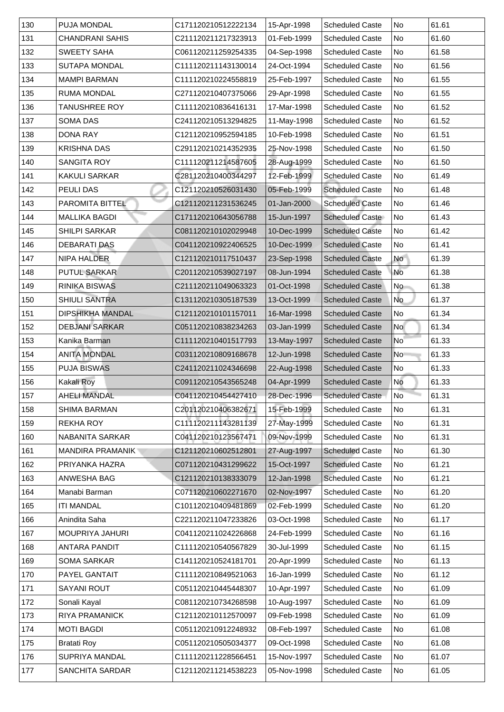| 130 | <b>PUJA MONDAL</b>      | C171120210512222134 | 15-Apr-1998 | <b>Scheduled Caste</b> | No                       | 61.61 |
|-----|-------------------------|---------------------|-------------|------------------------|--------------------------|-------|
| 131 | <b>CHANDRANI SAHIS</b>  | C211120211217323913 | 01-Feb-1999 | <b>Scheduled Caste</b> | No                       | 61.60 |
| 132 | <b>SWEETY SAHA</b>      | C061120211259254335 | 04-Sep-1998 | <b>Scheduled Caste</b> | No                       | 61.58 |
| 133 | <b>SUTAPA MONDAL</b>    | C111120211143130014 | 24-Oct-1994 | <b>Scheduled Caste</b> | No                       | 61.56 |
| 134 | <b>MAMPI BARMAN</b>     | C111120210224558819 | 25-Feb-1997 | <b>Scheduled Caste</b> | No                       | 61.55 |
| 135 | <b>RUMA MONDAL</b>      | C271120210407375066 | 29-Apr-1998 | <b>Scheduled Caste</b> | No                       | 61.55 |
| 136 | TANUSHREE ROY           | C111120210836416131 | 17-Mar-1998 | <b>Scheduled Caste</b> | No                       | 61.52 |
| 137 | <b>SOMA DAS</b>         | C241120210513294825 | 11-May-1998 | <b>Scheduled Caste</b> | No                       | 61.52 |
| 138 | <b>DONA RAY</b>         | C121120210952594185 | 10-Feb-1998 | <b>Scheduled Caste</b> | No                       | 61.51 |
| 139 | <b>KRISHNA DAS</b>      | C291120210214352935 | 25-Nov-1998 | <b>Scheduled Caste</b> | No                       | 61.50 |
| 140 | <b>SANGITA ROY</b>      | C111120211214587605 | 28-Aug-1999 | <b>Scheduled Caste</b> | No                       | 61.50 |
| 141 | <b>KAKULI SARKAR</b>    | C281120210400344297 | 12-Feb-1999 | <b>Scheduled Caste</b> | No                       | 61.49 |
| 142 | <b>PEULIDAS</b>         | C121120210526031430 | 05-Feb-1999 | <b>Scheduled Caste</b> | No                       | 61.48 |
| 143 | <b>PAROMITA BITTEL</b>  | C121120211231536245 | 01-Jan-2000 | <b>Scheduled Caste</b> | No                       | 61.46 |
| 144 | <b>MALLIKA BAGDI</b>    | C171120210643056788 | 15-Jun-1997 | <b>Scheduled Caste</b> | No                       | 61.43 |
| 145 | <b>SHILPI SARKAR</b>    | C081120210102029948 | 10-Dec-1999 | <b>Scheduled Caste</b> | No                       | 61.42 |
| 146 | <b>DEBARATI DAS</b>     | C041120210922406525 | 10-Dec-1999 | <b>Scheduled Caste</b> | No                       | 61.41 |
| 147 | <b>NIPA HALDER</b>      | C121120210117510437 | 23-Sep-1998 | <b>Scheduled Caste</b> | <b>No</b>                | 61.39 |
| 148 | <b>PUTUL SARKAR</b>     | C201120210539027197 | 08-Jun-1994 | <b>Scheduled Caste</b> | <b>No</b>                | 61.38 |
| 149 | <b>RINIKA BISWAS</b>    | C211120211049063323 | 01-Oct-1998 | <b>Scheduled Caste</b> | No                       | 61.38 |
| 150 | <b>SHIULI SANTRA</b>    | C131120210305187539 | 13-Oct-1999 | <b>Scheduled Caste</b> | No                       | 61.37 |
| 151 | <b>DIPSHIKHA MANDAL</b> | C121120210101157011 | 16-Mar-1998 | <b>Scheduled Caste</b> | No                       | 61.34 |
| 152 | <b>DEBJANI SARKAR</b>   | C051120210838234263 | 03-Jan-1999 | <b>Scheduled Caste</b> | <b>No</b>                | 61.34 |
| 153 | Kanika Barman           | C111120210401517793 | 13-May-1997 | <b>Scheduled Caste</b> | No                       | 61.33 |
| 154 | <b>ANITA MONDAL</b>     | C031120210809168678 | 12-Jun-1998 | <b>Scheduled Caste</b> | N <sub>o</sub>           | 61.33 |
| 155 | <b>PUJA BISWAS</b>      | C241120211024346698 | 22-Aug-1998 | <b>Scheduled Caste</b> | No                       | 61.33 |
| 156 | <b>Kakali Roy</b>       | C091120210543565248 | 04-Apr-1999 | <b>Scheduled Caste</b> | <b>No</b>                | 61.33 |
| 157 | <b>AHELI MANDAL</b>     | C041120210454427410 | 28-Dec-1996 | <b>Scheduled Caste</b> | $\overline{\mathsf{No}}$ | 61.31 |
| 158 | <b>SHIMA BARMAN</b>     | C201120210406382671 | 15-Feb-1999 | <b>Scheduled Caste</b> | No                       | 61.31 |
| 159 | <b>REKHA ROY</b>        | C111120211143281139 | 27-May-1999 | <b>Scheduled Caste</b> | No                       | 61.31 |
| 160 | <b>NABANITA SARKAR</b>  | C041120210123567471 | 09-Nov-1999 | <b>Scheduled Caste</b> | No                       | 61.31 |
| 161 | <b>MANDIRA PRAMANIK</b> | C121120210602512801 | 27-Aug-1997 | <b>Scheduled Caste</b> | No                       | 61.30 |
| 162 | PRIYANKA HAZRA          | C071120210431299622 | 15-Oct-1997 | <b>Scheduled Caste</b> | No                       | 61.21 |
| 163 | <b>ANWESHA BAG</b>      | C121120210138333079 | 12-Jan-1998 | <b>Scheduled Caste</b> | No                       | 61.21 |
| 164 | Manabi Barman           | C071120210602271670 | 02-Nov-1997 | <b>Scheduled Caste</b> | No                       | 61.20 |
| 165 | <b>ITI MANDAL</b>       | C101120210409481869 | 02-Feb-1999 | <b>Scheduled Caste</b> | No                       | 61.20 |
| 166 | Anindita Saha           | C221120211047233826 | 03-Oct-1998 | <b>Scheduled Caste</b> | No                       | 61.17 |
| 167 | <b>MOUPRIYA JAHURI</b>  | C041120211024226868 | 24-Feb-1999 | <b>Scheduled Caste</b> | No                       | 61.16 |
| 168 | <b>ANTARA PANDIT</b>    | C111120210540567829 | 30-Jul-1999 | <b>Scheduled Caste</b> | No                       | 61.15 |
| 169 | <b>SOMA SARKAR</b>      | C141120210524181701 | 20-Apr-1999 | <b>Scheduled Caste</b> | No                       | 61.13 |
| 170 | <b>PAYEL GANTAIT</b>    | C111120210849521063 | 16-Jan-1999 | <b>Scheduled Caste</b> | No                       | 61.12 |
| 171 | <b>SAYANI ROUT</b>      | C051120210445448307 | 10-Apr-1997 | <b>Scheduled Caste</b> | No No                    | 61.09 |
| 172 | Sonali Kayal            | C081120210734268598 | 10-Aug-1997 | <b>Scheduled Caste</b> | No                       | 61.09 |
| 173 | <b>RIYA PRAMANICK</b>   | C121120210112570097 | 09-Feb-1998 | <b>Scheduled Caste</b> | No                       | 61.09 |
| 174 | <b>MOTI BAGDI</b>       | C051120210912248932 | 08-Feb-1997 | <b>Scheduled Caste</b> | No                       | 61.08 |
| 175 | <b>Bratati Roy</b>      | C051120210505034377 | 09-Oct-1998 | <b>Scheduled Caste</b> | No                       | 61.08 |
| 176 | <b>SUPRIYA MANDAL</b>   | C111120211228566451 | 15-Nov-1997 | <b>Scheduled Caste</b> | No                       | 61.07 |
| 177 | <b>SANCHITA SARDAR</b>  | C121120211214538223 | 05-Nov-1998 | <b>Scheduled Caste</b> | No                       | 61.05 |
|     |                         |                     |             |                        |                          |       |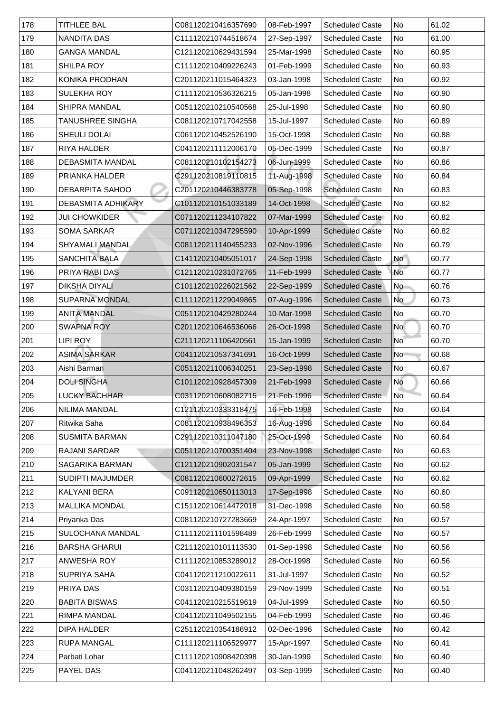| 178 | <b>TITHLEE BAL</b>        | C081120210416357690 | 08-Feb-1997 | <b>Scheduled Caste</b> | No                       | 61.02 |
|-----|---------------------------|---------------------|-------------|------------------------|--------------------------|-------|
| 179 | NANDITA DAS               | C111120210744518674 | 27-Sep-1997 | <b>Scheduled Caste</b> | No                       | 61.00 |
| 180 | <b>GANGA MANDAL</b>       | C121120210629431594 | 25-Mar-1998 | <b>Scheduled Caste</b> | No                       | 60.95 |
| 181 | <b>SHILPA ROY</b>         | C111120210409226243 | 01-Feb-1999 | <b>Scheduled Caste</b> | No                       | 60.93 |
| 182 | <b>KONIKA PRODHAN</b>     | C201120211015464323 | 03-Jan-1998 | <b>Scheduled Caste</b> | No                       | 60.92 |
| 183 | <b>SULEKHA ROY</b>        | C111120210536326215 | 05-Jan-1998 | <b>Scheduled Caste</b> | No                       | 60.90 |
| 184 | <b>SHIPRA MANDAL</b>      | C051120210210540568 | 25-Jul-1998 | <b>Scheduled Caste</b> | No                       | 60.90 |
| 185 | <b>TANUSHREE SINGHA</b>   | C081120210717042558 | 15-Jul-1997 | <b>Scheduled Caste</b> | <b>No</b>                | 60.89 |
| 186 | <b>SHEULI DOLAI</b>       | C061120210452526190 | 15-Oct-1998 | <b>Scheduled Caste</b> | No                       | 60.88 |
| 187 | <b>RIYA HALDER</b>        | C041120211112006170 | 05-Dec-1999 | <b>Scheduled Caste</b> | No                       | 60.87 |
| 188 | <b>DEBASMITA MANDAL</b>   | C081120210102154273 | 06-Jun-1999 | <b>Scheduled Caste</b> | No                       | 60.86 |
| 189 | <b>PRIANKA HALDER</b>     | C291120210819110815 | 11-Aug-1998 | <b>Scheduled Caste</b> | No                       | 60.84 |
| 190 | <b>DEBARPITA SAHOO</b>    | C201120210446383778 | 05-Sep-1998 | <b>Scheduled Caste</b> | No                       | 60.83 |
| 191 | <b>DEBASMITA ADHIKARY</b> | C101120210151033189 | 14-Oct-1998 | <b>Scheduled Caste</b> | No                       | 60.82 |
| 192 | <b>JUI CHOWKIDER</b>      | C071120211234107822 | 07-Mar-1999 | <b>Scheduled Caste</b> | No                       | 60.82 |
| 193 | <b>SOMA SARKAR</b>        | C071120210347295590 | 10-Apr-1999 | <b>Scheduled Caste</b> | No                       | 60.82 |
| 194 | <b>SHYAMALI MANDAL</b>    | C081120211140455233 | 02-Nov-1996 | <b>Scheduled Caste</b> | No                       | 60.79 |
| 195 | <b>SANCHITA BALA</b>      | C141120210405051017 | 24-Sep-1998 | <b>Scheduled Caste</b> | No                       | 60.77 |
| 196 | <b>PRIYA RABI DAS</b>     | C121120210231072765 | 11-Feb-1999 | <b>Scheduled Caste</b> | <b>No</b>                | 60.77 |
| 197 | <b>DIKSHA DIYALI</b>      | C101120210226021562 | 22-Sep-1999 | <b>Scheduled Caste</b> | <b>No</b>                | 60.76 |
| 198 | <b>SUPARNA MONDAL</b>     | C111120211229049865 | 07-Aug-1996 | <b>Scheduled Caste</b> | No                       | 60.73 |
| 199 | <b>ANITA MANDAL</b>       | C051120210429280244 | 10-Mar-1998 | <b>Scheduled Caste</b> | No                       | 60.70 |
| 200 | <b>SWAPNA ROY</b>         | C201120210646536066 | 26-Oct-1998 | <b>Scheduled Caste</b> | No l                     | 60.70 |
| 201 | <b>LIPI ROY</b>           | C211120211106420561 | 15-Jan-1999 | <b>Scheduled Caste</b> | $\overline{\mathsf{No}}$ | 60.70 |
| 202 | <b>ASIMA SARKAR</b>       | C041120210537341691 | 16-Oct-1999 | <b>Scheduled Caste</b> | No                       | 60.68 |
| 203 | Aishi Barman              | C051120211006340251 | 23-Sep-1998 | <b>Scheduled Caste</b> | No                       | 60.67 |
| 204 | <b>DOLI SINGHA</b>        | C101120210928457309 | 21-Feb-1999 | <b>Scheduled Caste</b> | No                       | 60.66 |
| 205 | <b>LUCKY BACHHAR</b>      | C031120210608082715 | 21-Feb-1996 | <b>Scheduled Caste</b> | No                       | 60.64 |
| 206 | <b>NILIMA MANDAL</b>      | C121120210333318475 | 16-Feb-1998 | <b>Scheduled Caste</b> | No                       | 60.64 |
| 207 | Ritwika Saha              | C081120210938496353 | 16-Aug-1998 | <b>Scheduled Caste</b> | No                       | 60.64 |
| 208 | <b>SUSMITA BARMAN</b>     | C291120210311047180 | 25-Oct-1998 | <b>Scheduled Caste</b> | No                       | 60.64 |
| 209 | <b>RAJANI SARDAR</b>      | C051120210700351404 | 23-Nov-1998 | <b>Scheduled Caste</b> | No                       | 60.63 |
| 210 | <b>SAGARIKA BARMAN</b>    | C121120210902031547 | 05-Jan-1999 | <b>Scheduled Caste</b> | No                       | 60.62 |
| 211 | <b>SUDIPTI MAJUMDER</b>   | C081120210600272615 | 09-Apr-1999 | <b>Scheduled Caste</b> | No                       | 60.62 |
| 212 | <b>KALYANI BERA</b>       | C091120210650113013 | 17-Sep-1998 | <b>Scheduled Caste</b> | No                       | 60.60 |
| 213 | <b>MALLIKA MONDAL</b>     | C151120210614472018 | 31-Dec-1998 | <b>Scheduled Caste</b> | No                       | 60.58 |
| 214 | Priyanka Das              | C081120210727283669 | 24-Apr-1997 | <b>Scheduled Caste</b> | No                       | 60.57 |
| 215 | <b>SULOCHANA MANDAL</b>   | C111120211101598489 | 26-Feb-1999 | <b>Scheduled Caste</b> | <b>No</b>                | 60.57 |
| 216 | <b>BARSHA GHARUI</b>      | C211120210101113530 | 01-Sep-1998 | <b>Scheduled Caste</b> | <b>No</b>                | 60.56 |
| 217 | <b>ANWESHA ROY</b>        | C111120210853289012 | 28-Oct-1998 | <b>Scheduled Caste</b> | No                       | 60.56 |
| 218 | <b>SUPRIYA SAHA</b>       | C041120211210022611 | 31-Jul-1997 | <b>Scheduled Caste</b> | No                       | 60.52 |
| 219 | <b>PRIYA DAS</b>          | C031120210409380159 | 29-Nov-1999 | <b>Scheduled Caste</b> | No                       | 60.51 |
| 220 | <b>BABITA BISWAS</b>      | C041120210215519619 | 04-Jul-1999 | <b>Scheduled Caste</b> | No                       | 60.50 |
| 221 | <b>RIMPA MANDAL</b>       | C041120211049502155 | 04-Feb-1999 | <b>Scheduled Caste</b> | No                       | 60.46 |
| 222 | DIPA HALDER               | C251120210354186912 | 02-Dec-1996 | <b>Scheduled Caste</b> | No                       | 60.42 |
| 223 | <b>RUPA MANGAL</b>        | C111120211106529977 | 15-Apr-1997 | <b>Scheduled Caste</b> | No                       | 60.41 |
| 224 | Parbati Lohar             | C111120210908420398 | 30-Jan-1999 | <b>Scheduled Caste</b> | No                       | 60.40 |
| 225 | <b>PAYEL DAS</b>          | C041120211048262497 | 03-Sep-1999 | <b>Scheduled Caste</b> | No                       | 60.40 |
|     |                           |                     |             |                        |                          |       |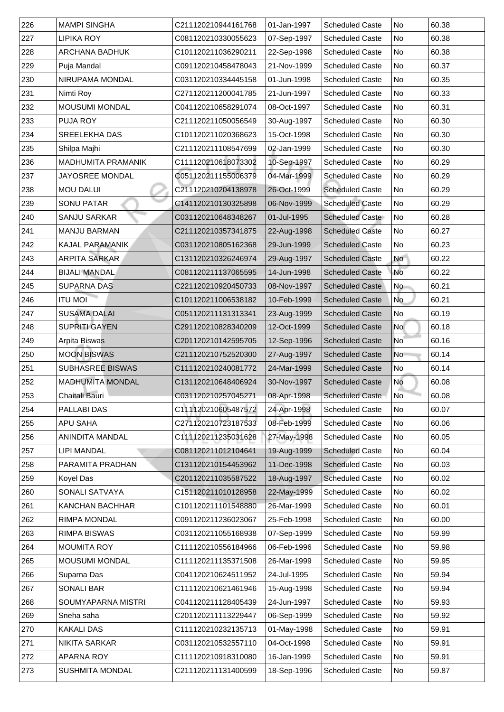| 226           | <b>MAMPI SINGHA</b>       | C211120210944161768 | 01-Jan-1997 | <b>Scheduled Caste</b> | No              | 60.38 |
|---------------|---------------------------|---------------------|-------------|------------------------|-----------------|-------|
| 227           | <b>LIPIKA ROY</b>         | C081120210330055623 | 07-Sep-1997 | <b>Scheduled Caste</b> | No              | 60.38 |
| 228           | <b>ARCHANA BADHUK</b>     | C101120211036290211 | 22-Sep-1998 | <b>Scheduled Caste</b> | <b>No</b>       | 60.38 |
| 229           | Puja Mandal               | C091120210458478043 | 21-Nov-1999 | <b>Scheduled Caste</b> | No              | 60.37 |
| 230           | <b>NIRUPAMA MONDAL</b>    | C031120210334445158 | 01-Jun-1998 | <b>Scheduled Caste</b> | <b>No</b>       | 60.35 |
| 231           | Nimti Roy                 | C271120211200041785 | 21-Jun-1997 | <b>Scheduled Caste</b> | No              | 60.33 |
| 232           | <b>MOUSUMI MONDAL</b>     | C041120210658291074 | 08-Oct-1997 | <b>Scheduled Caste</b> | No              | 60.31 |
| 233           | <b>PUJA ROY</b>           | C211120211050056549 | 30-Aug-1997 | <b>Scheduled Caste</b> | <b>No</b>       | 60.30 |
| 234           | <b>SREELEKHA DAS</b>      | C101120211020368623 | 15-Oct-1998 | <b>Scheduled Caste</b> | No              | 60.30 |
| 235           | Shilpa Majhi              | C211120211108547699 | 02-Jan-1999 | <b>Scheduled Caste</b> | <b>No</b>       | 60.30 |
| 236           | <b>MADHUMITA PRAMANIK</b> | C111120210618073302 | 10-Sep-1997 | <b>Scheduled Caste</b> | No              | 60.29 |
| 237           | <b>JAYOSREE MONDAL</b>    | C051120211155006379 | 04-Mar-1999 | <b>Scheduled Caste</b> | <b>No</b>       | 60.29 |
| 238           | <b>MOU DALUI</b>          | C211120210204138978 | 26-Oct-1999 | <b>Scheduled Caste</b> | <b>No</b>       | 60.29 |
| 239           | <b>SONU PATAR</b>         | C141120210130325898 | 06-Nov-1999 | <b>Scheduled Caste</b> | <b>No</b>       | 60.29 |
| 240           | <b>SANJU SARKAR</b>       | C031120210648348267 | 01-Jul-1995 | <b>Scheduled Caste</b> | No              | 60.28 |
| 241           | <b>MANJU BARMAN</b>       | C211120210357341875 | 22-Aug-1998 | <b>Scheduled Caste</b> | No              | 60.27 |
| 242           | KAJAL PARAMANIK           | C031120210805162368 | 29-Jun-1999 | <b>Scheduled Caste</b> | No              | 60.23 |
| 243           | <b>ARPITA SARKAR</b>      | C131120210326246974 | 29-Aug-1997 | <b>Scheduled Caste</b> | <b>No</b>       | 60.22 |
| 244           | <b>BIJALI MANDAL</b>      | C081120211137065595 | 14-Jun-1998 | <b>Scheduled Caste</b> | No              | 60.22 |
| 245           | <b>SUPARNA DAS</b>        | C221120210920450733 | 08-Nov-1997 | <b>Scheduled Caste</b> | No              | 60.21 |
| 246           | <b>ITU MOI</b>            | C101120211006538182 | 10-Feb-1999 | <b>Scheduled Caste</b> | No              | 60.21 |
| 247           | <b>SUSAMA DALAI</b>       | C051120211131313341 | 23-Aug-1999 | <b>Scheduled Caste</b> | No              | 60.19 |
| 248           | <b>SUPRITI GAYEN</b>      | C291120210828340209 | 12-Oct-1999 | <b>Scheduled Caste</b> | <b>No</b>       | 60.18 |
| 249           | <b>Arpita Biswas</b>      | C201120210142595705 | 12-Sep-1996 | <b>Scheduled Caste</b> | No <sup>1</sup> | 60.16 |
| 250           | <b>MOON BISWAS</b>        | C211120210752520300 | 27-Aug-1997 | <b>Scheduled Caste</b> | N <sub>o</sub>  | 60.14 |
| 251           | <b>SUBHASREE BISWAS</b>   | C111120210240081772 | 24-Mar-1999 | <b>Scheduled Caste</b> | No              | 60.14 |
| 252           | <b>MADHUMITA MONDAL</b>   | C131120210648406924 | 30-Nov-1997 | <b>Scheduled Caste</b> | No              | 60.08 |
| 253           | <b>Chaitali Bauri</b>     | C031120210257045271 | 08-Apr-1998 | <b>Scheduled Caste</b> | <b>No</b>       | 60.08 |
| 254           | <b>PALLABI DAS</b>        | C111120210605487572 | 24-Apr-1998 | <b>Scheduled Caste</b> | No              | 60.07 |
| 255           | <b>APU SAHA</b>           | C271120210723187533 | 08-Feb-1999 | <b>Scheduled Caste</b> | No              | 60.06 |
| 256           | <b>ANINDITA MANDAL</b>    | C111120211235031628 | 27-May-1998 | <b>Scheduled Caste</b> | No              | 60.05 |
| 257           | <b>LIPI MANDAL</b>        | C081120211012104641 | 19-Aug-1999 | <b>Scheduled Caste</b> | No              | 60.04 |
| 258           | PARAMITA PRADHAN          | C131120210154453962 | 11-Dec-1998 | <b>Scheduled Caste</b> | No              | 60.03 |
| 259           | Koyel Das                 | C201120211035587522 | 18-Aug-1997 | <b>Scheduled Caste</b> | No              | 60.02 |
| 260           | <b>SONALI SATVAYA</b>     | C151120211010128958 | 22-May-1999 | <b>Scheduled Caste</b> | No              | 60.02 |
| 261           | <b>KANCHAN BACHHAR</b>    | C101120211101548880 | 26-Mar-1999 | <b>Scheduled Caste</b> | <b>No</b>       | 60.01 |
| 262           | <b>RIMPA MONDAL</b>       | C091120211236023067 | 25-Feb-1998 | <b>Scheduled Caste</b> | No              | 60.00 |
| 263           | <b>RIMPA BISWAS</b>       | C031120211055168938 | 07-Sep-1999 | <b>Scheduled Caste</b> | No              | 59.99 |
| 264           | <b>MOUMITA ROY</b>        | C111120210556184966 | 06-Feb-1996 | <b>Scheduled Caste</b> | <b>No</b>       | 59.98 |
| 265           | <b>MOUSUMI MONDAL</b>     | C111120211135371508 | 26-Mar-1999 | <b>Scheduled Caste</b> | No              | 59.95 |
| 266           | Suparna Das               | C041120210624511952 | 24-Jul-1995 | <b>Scheduled Caste</b> | No              | 59.94 |
| 267           | <b>SONALI BAR</b>         | C111120210621461946 | 15-Aug-1998 | <b>Scheduled Caste</b> | No              | 59.94 |
| 268           | <b>SOUMYAPARNA MISTRI</b> | C041120211128405439 | 24-Jun-1997 | <b>Scheduled Caste</b> | No              | 59.93 |
| 269           | Sneha saha                | C201120211113229447 | 06-Sep-1999 | <b>Scheduled Caste</b> | No.             | 59.92 |
| 270           | <b>KAKALI DAS</b>         | C111120210232135713 | 01-May-1998 | <b>Scheduled Caste</b> | No              | 59.91 |
| 271           | <b>NIKITA SARKAR</b>      | C031120210532557110 | 04-Oct-1998 | <b>Scheduled Caste</b> | No              | 59.91 |
| $ 272\rangle$ | <b>APARNA ROY</b>         | C111120210918310080 | 16-Jan-1999 | <b>Scheduled Caste</b> | No              | 59.91 |
| 273           | <b>SUSHMITA MONDAL</b>    | C211120211131400599 | 18-Sep-1996 | <b>Scheduled Caste</b> | No.             | 59.87 |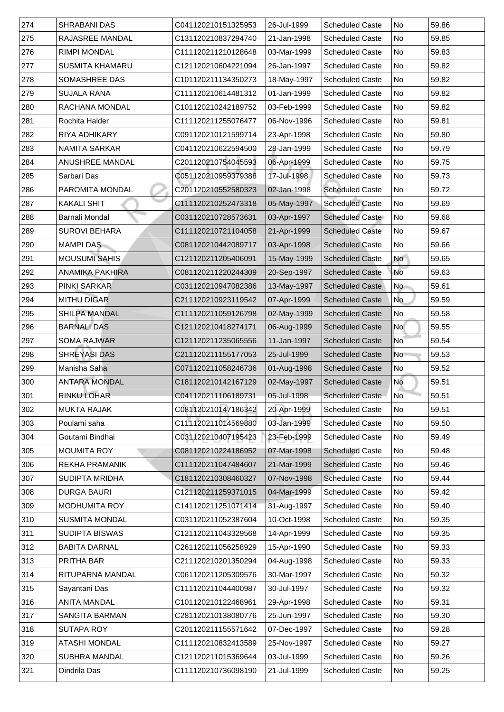| 274           | <b>SHRABANI DAS</b>    | C041120210151325953 | 26-Jul-1999 | <b>Scheduled Caste</b> | No                       | 59.86 |
|---------------|------------------------|---------------------|-------------|------------------------|--------------------------|-------|
| 275           | <b>RAJASREE MANDAL</b> | C131120210837294740 | 21-Jan-1998 | <b>Scheduled Caste</b> | No                       | 59.85 |
| 276           | <b>RIMPI MONDAL</b>    | C111120211210128648 | 03-Mar-1999 | <b>Scheduled Caste</b> | <b>No</b>                | 59.83 |
| 277           | <b>SUSMITA KHAMARU</b> | C121120210604221094 | 26-Jan-1997 | <b>Scheduled Caste</b> | No                       | 59.82 |
| 278           | <b>SOMASHREE DAS</b>   | C101120211134350273 | 18-May-1997 | <b>Scheduled Caste</b> | <b>No</b>                | 59.82 |
| 279           | <b>SUJALA RANA</b>     | C111120210614481312 | 01-Jan-1999 | <b>Scheduled Caste</b> | No                       | 59.82 |
| 280           | RACHANA MONDAL         | C101120210242189752 | 03-Feb-1999 | <b>Scheduled Caste</b> | No                       | 59.82 |
| 281           | <b>Rochita Halder</b>  | C111120211255076477 | 06-Nov-1996 | <b>Scheduled Caste</b> | <b>No</b>                | 59.81 |
| 282           | <b>RIYA ADHIKARY</b>   | C091120210121599714 | 23-Apr-1998 | <b>Scheduled Caste</b> | <b>No</b>                | 59.80 |
| 283           | <b>NAMITA SARKAR</b>   | C041120210622594500 | 28-Jan-1999 | <b>Scheduled Caste</b> | <b>No</b>                | 59.79 |
| 284           | <b>ANUSHREE MANDAL</b> | C201120210754045593 | 06-Apr-1999 | <b>Scheduled Caste</b> | <b>No</b>                | 59.75 |
| 285           | Sarbari Das            | C051120210959379388 | 17-Jul-1998 | <b>Scheduled Caste</b> | <b>No</b>                | 59.73 |
| 286           | <b>PAROMITA MONDAL</b> | C201120210552580323 | 02-Jan-1998 | <b>Scheduled Caste</b> | <b>No</b>                | 59.72 |
| 287           | <b>KAKALI SHIT</b>     | C111120210252473318 | 05-May-1997 | <b>Scheduled Caste</b> | No                       | 59.69 |
| 288           | <b>Barnali Mondal</b>  | C031120210728573631 | 03-Apr-1997 | <b>Scheduled Caste</b> | No                       | 59.68 |
| 289           | <b>SUROVI BEHARA</b>   | C111120210721104058 | 21-Apr-1999 | <b>Scheduled Caste</b> | No                       | 59.67 |
| 290           | <b>MAMPI DAS</b>       | C081120210442089717 | 03-Apr-1998 | <b>Scheduled Caste</b> | No                       | 59.66 |
| 291           | <b>MOUSUMI SAHIS</b>   | C121120211205406091 | 15-May-1999 | <b>Scheduled Caste</b> | No                       | 59.65 |
| 292           | <b>ANAMIKA PAKHIRA</b> | C081120211220244309 | 20-Sep-1997 | <b>Scheduled Caste</b> | No                       | 59.63 |
| 293           | <b>PINKI SARKAR</b>    | C031120210947082386 | 13-May-1997 | <b>Scheduled Caste</b> | No                       | 59.61 |
| 294           | <b>MITHU DIGAR</b>     | C211120210923119542 | 07-Apr-1999 | <b>Scheduled Caste</b> | No                       | 59.59 |
| 295           | <b>SHILPA MANDAL</b>   | C111120211059126798 | 02-May-1999 | <b>Scheduled Caste</b> | No                       | 59.58 |
| 296           | <b>BARNALI DAS</b>     | C121120210418274171 | 06-Aug-1999 | <b>Scheduled Caste</b> | <b>No</b>                | 59.55 |
| 297           | <b>SOMA RAJWAR</b>     | C121120211235065556 | 11-Jan-1997 | <b>Scheduled Caste</b> | $\overline{\mathsf{No}}$ | 59.54 |
| 298           | <b>SHREYASI DAS</b>    | C211120211155177053 | 25-Jul-1999 | <b>Scheduled Caste</b> | N <sub>o</sub>           | 59.53 |
| 299           | Manisha Saha           | C071120211058246736 | 01-Aug-1998 | <b>Scheduled Caste</b> | No                       | 59.52 |
| 300           | <b>ANTARA MONDAL</b>   | C181120210142167129 | 02-May-1997 | <b>Scheduled Caste</b> | <b>No</b>                | 59.51 |
| $ 301\rangle$ | <b>RINKU LOHAR</b>     | C041120211106189731 | 05-Jul-1998 | <b>Scheduled Caste</b> | No                       | 59.51 |
| 302           | <b>MUKTA RAJAK</b>     | C081120210147186342 | 20-Apr-1999 | <b>Scheduled Caste</b> | No                       | 59.51 |
| 303           | Poulami saha           | C111120211014569880 | 03-Jan-1999 | <b>Scheduled Caste</b> | No                       | 59.50 |
| 304           | Goutami Bindhai        | C031120210407195423 | 23-Feb-1999 | <b>Scheduled Caste</b> | No                       | 59.49 |
| 305           | <b>MOUMITA ROY</b>     | C081120210224186952 | 07-Mar-1998 | <b>Scheduled Caste</b> | <b>No</b>                | 59.48 |
| 306           | <b>REKHA PRAMANIK</b>  | C111120211047484607 | 21-Mar-1999 | <b>Scheduled Caste</b> | No                       | 59.46 |
| 307           | <b>SUDIPTA MRIDHA</b>  | C181120210308460327 | 07-Nov-1998 | <b>Scheduled Caste</b> | <b>No</b>                | 59.44 |
| 308           | <b>DURGA BAURI</b>     | C121120211259371015 | 04-Mar-1999 | <b>Scheduled Caste</b> | No                       | 59.42 |
| 309           | <b>MODHUMITA ROY</b>   | C141120211251071414 | 31-Aug-1997 | <b>Scheduled Caste</b> | No                       | 59.40 |
| 310           | <b>SUSMITA MONDAL</b>  | C031120211052387604 | 10-Oct-1998 | <b>Scheduled Caste</b> | No                       | 59.35 |
| 311           | <b>SUDIPTA BISWAS</b>  | C121120211043329568 | 14-Apr-1999 | <b>Scheduled Caste</b> | No                       | 59.35 |
| $312$         | <b>BABITA DARNAL</b>   | C261120211056258929 | 15-Apr-1990 | <b>Scheduled Caste</b> | <b>No</b>                | 59.33 |
| 313           | <b>PRITHA BAR</b>      | C211120210201350294 | 04-Aug-1998 | <b>Scheduled Caste</b> | <b>No</b>                | 59.33 |
| 314           | RITUPARNA MANDAL       | C061120211205309576 | 30-Mar-1997 | <b>Scheduled Caste</b> | <b>No</b>                | 59.32 |
| 315           | Sayantani Das          | C111120211044400987 | 30-Jul-1997 | <b>Scheduled Caste</b> | No                       | 59.32 |
| 316           | <b>ANITA MANDAL</b>    | C101120210122468961 | 29-Apr-1998 | <b>Scheduled Caste</b> | No                       | 59.31 |
| 317           | <b>SANGITA BARMAN</b>  | C281120210138080776 | 25-Jun-1997 | <b>Scheduled Caste</b> | No l                     | 59.30 |
| 318           | <b>SUTAPA ROY</b>      | C201120211155571642 | 07-Dec-1997 | <b>Scheduled Caste</b> | No                       | 59.28 |
| 319           | <b>ATASHI MONDAL</b>   | C111120210832413589 | 25-Nov-1997 | <b>Scheduled Caste</b> | No                       | 59.27 |
| 320           | <b>SUBHRA MANDAL</b>   | C121120211015369644 | 03-Jul-1999 | <b>Scheduled Caste</b> | No                       | 59.26 |
| 321           | Oindrila Das           | C111120210736098190 | 21-Jul-1999 | <b>Scheduled Caste</b> | No.                      | 59.25 |
|               |                        |                     |             |                        |                          |       |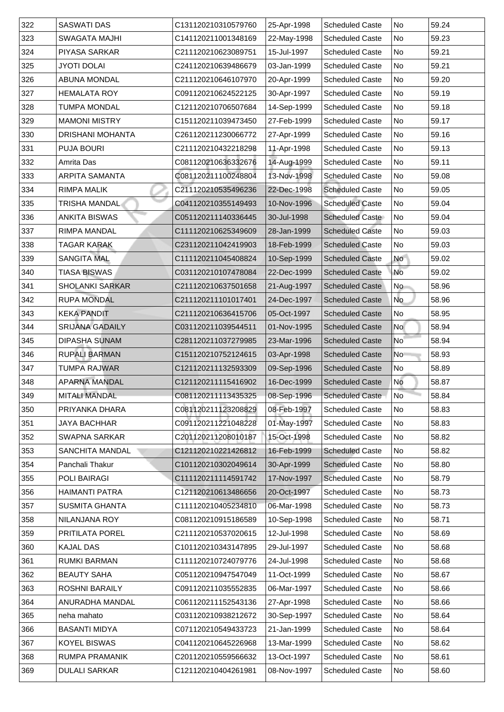| 322 | <b>SASWATI DAS</b>      | C131120210310579760 | 25-Apr-1998 | <b>Scheduled Caste</b> | No                       | 59.24 |
|-----|-------------------------|---------------------|-------------|------------------------|--------------------------|-------|
| 323 | <b>SWAGATA MAJHI</b>    | C141120211001348169 | 22-May-1998 | <b>Scheduled Caste</b> | No                       | 59.23 |
| 324 | <b>PIYASA SARKAR</b>    | C211120210623089751 | 15-Jul-1997 | <b>Scheduled Caste</b> | <b>No</b>                | 59.21 |
| 325 | <b>JYOTI DOLAI</b>      | C241120210639486679 | 03-Jan-1999 | <b>Scheduled Caste</b> | No                       | 59.21 |
| 326 | <b>ABUNA MONDAL</b>     | C211120210646107970 | 20-Apr-1999 | <b>Scheduled Caste</b> | <b>No</b>                | 59.20 |
| 327 | <b>HEMALATA ROY</b>     | C091120210624522125 | 30-Apr-1997 | <b>Scheduled Caste</b> | No                       | 59.19 |
| 328 | TUMPA MONDAL            | C121120210706507684 | 14-Sep-1999 | <b>Scheduled Caste</b> | No                       | 59.18 |
| 329 | <b>MAMONI MISTRY</b>    | C151120211039473450 | 27-Feb-1999 | <b>Scheduled Caste</b> | <b>No</b>                | 59.17 |
| 330 | <b>DRISHANI MOHANTA</b> | C261120211230066772 | 27-Apr-1999 | <b>Scheduled Caste</b> | <b>No</b>                | 59.16 |
| 331 | <b>PUJA BOURI</b>       | C211120210432218298 | 11-Apr-1998 | <b>Scheduled Caste</b> | <b>No</b>                | 59.13 |
| 332 | <b>Amrita Das</b>       | C081120210636332676 | 14-Aug-1999 | <b>Scheduled Caste</b> | No                       | 59.11 |
| 333 | <b>ARPITA SAMANTA</b>   | C081120211100248804 | 13-Nov-1998 | <b>Scheduled Caste</b> | <b>No</b>                | 59.08 |
| 334 | <b>RIMPA MALIK</b>      | C211120210535496236 | 22-Dec-1998 | <b>Scheduled Caste</b> | <b>No</b>                | 59.05 |
| 335 | <b>TRISHA MANDAL</b>    | C041120210355149493 | 10-Nov-1996 | <b>Scheduled Caste</b> | No                       | 59.04 |
| 336 | <b>ANKITA BISWAS</b>    | C051120211140336445 | 30-Jul-1998 | <b>Scheduled Caste</b> | <b>No</b>                | 59.04 |
| 337 | <b>RIMPA MANDAL</b>     | C111120210625349609 | 28-Jan-1999 | <b>Scheduled Caste</b> | No                       | 59.03 |
| 338 | TAGAR KARAK             | C231120211042419903 | 18-Feb-1999 | <b>Scheduled Caste</b> | No                       | 59.03 |
| 339 | <b>SANGITA MAL</b>      | C111120211045408824 | 10-Sep-1999 | <b>Scheduled Caste</b> | No                       | 59.02 |
| 340 | <b>TIASA BISWAS</b>     | C031120210107478084 | 22-Dec-1999 | <b>Scheduled Caste</b> | No                       | 59.02 |
| 341 | <b>SHOLANKI SARKAR</b>  | C211120210637501658 | 21-Aug-1997 | <b>Scheduled Caste</b> | No                       | 58.96 |
| 342 | <b>RUPA MONDAL</b>      | C211120211101017401 | 24-Dec-1997 | <b>Scheduled Caste</b> | No                       | 58.96 |
| 343 | <b>KEKA PANDIT</b>      | C211120210636415706 | 05-Oct-1997 | <b>Scheduled Caste</b> | No                       | 58.95 |
| 344 | <b>SRIJANA GADAILY</b>  | C031120211039544511 | 01-Nov-1995 | <b>Scheduled Caste</b> | <b>No</b>                | 58.94 |
| 345 | <b>DIPASHA SUNAM</b>    | C281120211037279985 | 23-Mar-1996 | <b>Scheduled Caste</b> | $\overline{\mathsf{No}}$ | 58.94 |
| 346 | <b>RUPALI BARMAN</b>    | C151120210752124615 | 03-Apr-1998 | <b>Scheduled Caste</b> | N <sub>o</sub>           | 58.93 |
| 347 | TUMPA RAJWAR            | C121120211132593309 | 09-Sep-1996 | <b>Scheduled Caste</b> | No                       | 58.89 |
| 348 | <b>APARNA MANDAL</b>    | C121120211115416902 | 16-Dec-1999 | <b>Scheduled Caste</b> | <b>No</b>                | 58.87 |
| 349 | <b>MITALI MANDAL</b>    | C081120211113435325 | 08-Sep-1996 | <b>Scheduled Caste</b> | No                       | 58.84 |
| 350 | PRIYANKA DHARA          | C081120211123208829 | 08-Feb-1997 | <b>Scheduled Caste</b> | No                       | 58.83 |
| 351 | JAYA BACHHAR            | C091120211221048228 | 01-May-1997 | <b>Scheduled Caste</b> | No                       | 58.83 |
| 352 | <b>SWAPNA SARKAR</b>    | C201120211208010187 | 15-Oct-1998 | <b>Scheduled Caste</b> | No                       | 58.82 |
| 353 | <b>SANCHITA MANDAL</b>  | C121120210221426812 | 16-Feb-1999 | <b>Scheduled Caste</b> | No                       | 58.82 |
| 354 | <b>Panchali Thakur</b>  | C101120210302049614 | 30-Apr-1999 | <b>Scheduled Caste</b> | No                       | 58.80 |
| 355 | <b>POLI BAIRAGI</b>     | C111120211114591742 | 17-Nov-1997 | <b>Scheduled Caste</b> | <b>No</b>                | 58.79 |
| 356 | <b>HAIMANTI PATRA</b>   | C121120210613486656 | 20-Oct-1997 | <b>Scheduled Caste</b> | No                       | 58.73 |
| 357 | <b>SUSMITA GHANTA</b>   | C111120210405234810 | 06-Mar-1998 | <b>Scheduled Caste</b> | No                       | 58.73 |
| 358 | NILANJANA ROY           | C081120210915186589 | 10-Sep-1998 | <b>Scheduled Caste</b> | No                       | 58.71 |
| 359 | <b>PRITILATA POREL</b>  | C211120210537020615 | 12-Jul-1998 | <b>Scheduled Caste</b> | No                       | 58.69 |
| 360 | <b>KAJAL DAS</b>        | C101120210343147895 | 29-Jul-1997 | <b>Scheduled Caste</b> | <b>No</b>                | 58.68 |
| 361 | <b>RUMKI BARMAN</b>     | C111120210724079776 | 24-Jul-1998 | <b>Scheduled Caste</b> | <b>No</b>                | 58.68 |
| 362 | <b>BEAUTY SAHA</b>      | C051120210947547049 | 11-Oct-1999 | <b>Scheduled Caste</b> | <b>No</b>                | 58.67 |
| 363 | <b>ROSHNI BARAILY</b>   | C091120211035552835 | 06-Mar-1997 | <b>Scheduled Caste</b> | No                       | 58.66 |
| 364 | <b>ANURADHA MANDAL</b>  | C061120211152543136 | 27-Apr-1998 | <b>Scheduled Caste</b> | No                       | 58.66 |
| 365 | neha mahato             | C031120210938212672 | 30-Sep-1997 | <b>Scheduled Caste</b> | No.                      | 58.64 |
| 366 | <b>BASANTI MIDYA</b>    | C071120210549433723 | 21-Jan-1999 | <b>Scheduled Caste</b> | No                       | 58.64 |
| 367 | <b>KOYEL BISWAS</b>     | C041120210645226968 | 13-Mar-1999 | <b>Scheduled Caste</b> | No                       | 58.62 |
| 368 | <b>RUMPA PRAMANIK</b>   | C201120210559566632 | 13-Oct-1997 | <b>Scheduled Caste</b> | No                       | 58.61 |
| 369 | <b>DULALI SARKAR</b>    | C121120210404261981 | 08-Nov-1997 | <b>Scheduled Caste</b> | No.                      | 58.60 |
|     |                         |                     |             |                        |                          |       |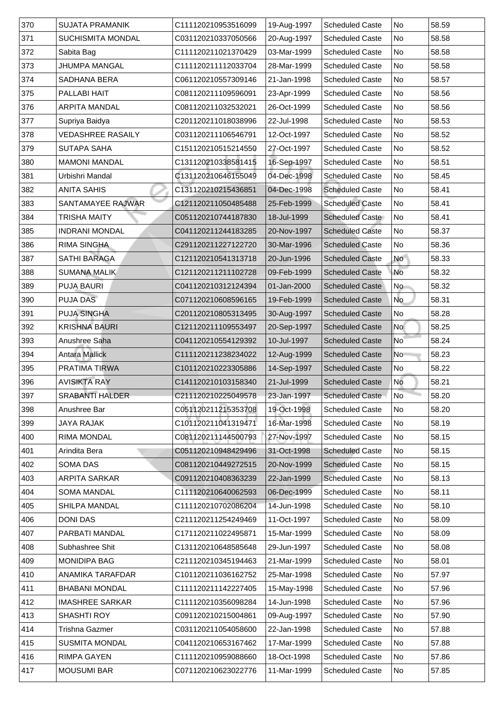| 371<br><b>SUCHISMITA MONDAL</b><br>20-Aug-1997<br><b>Scheduled Caste</b><br>No<br>58.58<br>C031120210337050566<br>372<br>Sabita Bag<br>No<br>58.58<br>C111120211021370429<br>03-Mar-1999<br><b>Scheduled Caste</b><br>373<br><b>JHUMPA MANGAL</b><br>No<br>28-Mar-1999<br>C111120211112033704<br><b>Scheduled Caste</b><br>58.58<br>374<br>No<br><b>SADHANA BERA</b><br>C061120210557309146<br>21-Jan-1998<br><b>Scheduled Caste</b><br>58.57<br>375<br><b>PALLABI HAIT</b><br>23-Apr-1999<br>No<br>58.56<br>C081120211109596091<br><b>Scheduled Caste</b><br>376<br>No<br><b>ARPITA MANDAL</b><br>C081120211032532021<br>26-Oct-1999<br>58.56<br><b>Scheduled Caste</b><br>377<br>Supriya Baidya<br>No<br>58.53<br>C201120211018038996<br>22-Jul-1998<br><b>Scheduled Caste</b><br>378<br><b>VEDASHREE RASAILY</b><br>No<br>12-Oct-1997<br>58.52<br>C031120211106546791<br><b>Scheduled Caste</b><br>379<br>No<br>58.52<br><b>SUTAPA SAHA</b><br>C151120210515214550<br>27-Oct-1997<br><b>Scheduled Caste</b><br>380<br>16-Sep-1997<br>No<br>C131120210338581415<br>58.51<br><b>MAMONI MANDAL</b><br><b>Scheduled Caste</b><br>381<br>Urbishri Mandal<br>No<br>C131120210646155049<br>04-Dec-1998<br><b>Scheduled Caste</b><br>58.45<br>382<br>C131120210215436851<br>04-Dec-1998<br>No<br><b>ANITA SAHIS</b><br><b>Scheduled Caste</b><br>58.41<br>383<br>58.41<br><b>SANTAMAYEE RAJWAR</b><br>N <sub>o</sub><br>C121120211050485488<br>25-Feb-1999<br><b>Scheduled Caste</b><br>384<br>No<br>58.41<br>TRISHA MAITY<br>C051120210744187830<br>18-Jul-1999<br><b>Scheduled Caste</b><br>385<br><b>INDRANI MONDAL</b><br>20-Nov-1997<br><b>Scheduled Caste</b><br>No<br>58.37<br>C041120211244183285<br>386<br><b>RIMA SINGHA</b><br>C291120211227122720<br>No<br>58.36<br>30-Mar-1996<br><b>Scheduled Caste</b><br>387<br>58.33<br><b>SATHI BARAGA</b><br>No<br>C121120210541313718<br>20-Jun-1996<br><b>Scheduled Caste</b><br>388<br><b>No</b><br>58.32<br><b>SUMANA MALIK</b><br>C121120211211102728<br>09-Feb-1999<br><b>Scheduled Caste</b><br>389<br><b>PUJA BAURI</b><br><b>Scheduled Caste</b><br><b>No</b><br>58.32<br>C041120210312124394<br>01-Jan-2000<br>390<br><b>PUJA DAS</b><br>No<br>19-Feb-1999<br>58.31<br>C071120210608596165<br><b>Scheduled Caste</b><br>391<br><b>PUJA SINGHA</b><br>No<br>58.28<br>30-Aug-1997<br>C201120210805313495<br><b>Scheduled Caste</b><br>392<br><b>KRISHNA BAURI</b><br>20-Sep-1997<br>No<br>58.25<br>C121120211109553497<br><b>Scheduled Caste</b><br>393<br>C041120210554129392<br><b>Scheduled Caste</b><br>58.24<br>Anushree Saha<br>10-Jul-1997<br>$\overline{\mathsf{No}}$<br>394<br><b>Antara Mallick</b><br>12-Aug-1999<br>58.23<br>C111120211238234022<br><b>Scheduled Caste</b><br>No<br>395<br>14-Sep-1997<br>58.22<br><b>PRATIMA TIRWA</b><br>C101120210223305886<br><b>Scheduled Caste</b><br> No<br>396<br><b>AVISIKTA RAY</b><br>No<br>58.21<br>C141120210103158340<br>21-Jul-1999<br><b>Scheduled Caste</b><br>No <sup>-</sup><br>397<br><b>SRABANTI HALDER</b><br>C211120210225049578<br>23-Jan-1997<br>58.20<br><b>Scheduled Caste</b><br>398<br>58.20<br>Anushree Bar<br>C051120211215353708<br>19-Oct-1998<br><b>Scheduled Caste</b><br>No<br>399<br>58.19<br>C101120211041319471<br>16-Mar-1998<br>No<br>JAYA RAJAK<br><b>Scheduled Caste</b><br>400<br>58.15<br><b>RIMA MONDAL</b><br>27-Nov-1997<br>No<br>C081120211144500793<br><b>Scheduled Caste</b><br>401<br>Arindita Bera<br>31-Oct-1998<br><b>Scheduled Caste</b><br>No<br>58.15<br>C051120210948429496<br>402<br>58.15<br><b>SOMA DAS</b><br>No<br>C081120210449272515<br>20-Nov-1999<br><b>Scheduled Caste</b><br>403<br>No<br>58.13<br><b>ARPITA SARKAR</b><br>C091120210408363239<br>22-Jan-1999<br><b>Scheduled Caste</b><br>404<br>No<br>58.11<br><b>SOMA MANDAL</b><br>C111120210640062593<br>06-Dec-1999<br><b>Scheduled Caste</b><br>405<br><b>SHILPA MANDAL</b><br>No<br>58.10<br>C111120210702086204<br>14-Jun-1998<br><b>Scheduled Caste</b><br>406<br>No<br><b>DONI DAS</b><br>58.09<br><b>Scheduled Caste</b><br>C211120211254249469<br>11-Oct-1997<br>407<br>58.09<br><b>PARBATI MANDAL</b><br>No<br>C171120211022495871<br>15-Mar-1999<br><b>Scheduled Caste</b><br>408<br>No<br>58.08<br>Subhashree Shit<br>C131120210648585648<br><b>Scheduled Caste</b><br>29-Jun-1997<br>409<br><b>MONIDIPA BAG</b><br>No<br>58.01<br>C211120210345194463<br>21-Mar-1999<br><b>Scheduled Caste</b><br>410<br>No<br>57.97<br><b>ANAMIKA TARAFDAR</b><br>C101120211036162752<br><b>Scheduled Caste</b><br>25-Mar-1998<br><b>BHABANI MONDAL</b><br>411<br>C111120211142227405<br>15-May-1998<br><b>Scheduled Caste</b><br>No<br>57.96<br>$ 412\rangle$<br>57.96<br><b>IMASHREE SARKAR</b><br>14-Jun-1998<br><b>Scheduled Caste</b><br>No<br>C111120210356098284<br>413<br><b>SHASHTI ROY</b><br>09-Aug-1997<br><b>Scheduled Caste</b><br>No<br>C091120210215004861<br>57.90<br>414<br>No<br>Trishna Gazmer<br>22-Jan-1998<br><b>Scheduled Caste</b><br>57.88<br>C031120211054058600<br>415<br>No<br>57.88<br><b>SUSMITA MONDAL</b><br>C041120210653167462<br>17-Mar-1999<br><b>Scheduled Caste</b><br>416<br><b>RIMPA GAYEN</b><br>18-Oct-1998<br>No<br>57.86<br>C111120210959088660<br><b>Scheduled Caste</b><br>417<br><b>MOUSUMI BAR</b><br>11-Mar-1999<br><b>Scheduled Caste</b><br>No<br>57.85<br>C071120210623022776 | 370 | <b>SUJATA PRAMANIK</b> | C111120210953516099 | 19-Aug-1997 | <b>Scheduled Caste</b> | <b>No</b> | 58.59 |
|--------------------------------------------------------------------------------------------------------------------------------------------------------------------------------------------------------------------------------------------------------------------------------------------------------------------------------------------------------------------------------------------------------------------------------------------------------------------------------------------------------------------------------------------------------------------------------------------------------------------------------------------------------------------------------------------------------------------------------------------------------------------------------------------------------------------------------------------------------------------------------------------------------------------------------------------------------------------------------------------------------------------------------------------------------------------------------------------------------------------------------------------------------------------------------------------------------------------------------------------------------------------------------------------------------------------------------------------------------------------------------------------------------------------------------------------------------------------------------------------------------------------------------------------------------------------------------------------------------------------------------------------------------------------------------------------------------------------------------------------------------------------------------------------------------------------------------------------------------------------------------------------------------------------------------------------------------------------------------------------------------------------------------------------------------------------------------------------------------------------------------------------------------------------------------------------------------------------------------------------------------------------------------------------------------------------------------------------------------------------------------------------------------------------------------------------------------------------------------------------------------------------------------------------------------------------------------------------------------------------------------------------------------------------------------------------------------------------------------------------------------------------------------------------------------------------------------------------------------------------------------------------------------------------------------------------------------------------------------------------------------------------------------------------------------------------------------------------------------------------------------------------------------------------------------------------------------------------------------------------------------------------------------------------------------------------------------------------------------------------------------------------------------------------------------------------------------------------------------------------------------------------------------------------------------------------------------------------------------------------------------------------------------------------------------------------------------------------------------------------------------------------------------------------------------------------------------------------------------------------------------------------------------------------------------------------------------------------------------------------------------------------------------------------------------------------------------------------------------------------------------------------------------------------------------------------------------------------------------------------------------------------------------------------------------------------------------------------------------------------------------------------------------------------------------------------------------------------------------------------------------------------------------------------------------------------------------------------------------------------------------------------------------------------------------------------------------------------------------------------------------------------------------------------------------------------------------------------------------------------------------------------------------------------------------------------------------------------------------------------------------------------------------------------------------------------------------------------------------------------------------------------------------------------------------------------------------------------------------------------------------------------------------------------------------------------------------------------------------------|-----|------------------------|---------------------|-------------|------------------------|-----------|-------|
|                                                                                                                                                                                                                                                                                                                                                                                                                                                                                                                                                                                                                                                                                                                                                                                                                                                                                                                                                                                                                                                                                                                                                                                                                                                                                                                                                                                                                                                                                                                                                                                                                                                                                                                                                                                                                                                                                                                                                                                                                                                                                                                                                                                                                                                                                                                                                                                                                                                                                                                                                                                                                                                                                                                                                                                                                                                                                                                                                                                                                                                                                                                                                                                                                                                                                                                                                                                                                                                                                                                                                                                                                                                                                                                                                                                                                                                                                                                                                                                                                                                                                                                                                                                                                                                                                                                                                                                                                                                                                                                                                                                                                                                                                                                                                                                                                                                                                                                                                                                                                                                                                                                                                                                                                                                                                                                                                              |     |                        |                     |             |                        |           |       |
|                                                                                                                                                                                                                                                                                                                                                                                                                                                                                                                                                                                                                                                                                                                                                                                                                                                                                                                                                                                                                                                                                                                                                                                                                                                                                                                                                                                                                                                                                                                                                                                                                                                                                                                                                                                                                                                                                                                                                                                                                                                                                                                                                                                                                                                                                                                                                                                                                                                                                                                                                                                                                                                                                                                                                                                                                                                                                                                                                                                                                                                                                                                                                                                                                                                                                                                                                                                                                                                                                                                                                                                                                                                                                                                                                                                                                                                                                                                                                                                                                                                                                                                                                                                                                                                                                                                                                                                                                                                                                                                                                                                                                                                                                                                                                                                                                                                                                                                                                                                                                                                                                                                                                                                                                                                                                                                                                              |     |                        |                     |             |                        |           |       |
|                                                                                                                                                                                                                                                                                                                                                                                                                                                                                                                                                                                                                                                                                                                                                                                                                                                                                                                                                                                                                                                                                                                                                                                                                                                                                                                                                                                                                                                                                                                                                                                                                                                                                                                                                                                                                                                                                                                                                                                                                                                                                                                                                                                                                                                                                                                                                                                                                                                                                                                                                                                                                                                                                                                                                                                                                                                                                                                                                                                                                                                                                                                                                                                                                                                                                                                                                                                                                                                                                                                                                                                                                                                                                                                                                                                                                                                                                                                                                                                                                                                                                                                                                                                                                                                                                                                                                                                                                                                                                                                                                                                                                                                                                                                                                                                                                                                                                                                                                                                                                                                                                                                                                                                                                                                                                                                                                              |     |                        |                     |             |                        |           |       |
|                                                                                                                                                                                                                                                                                                                                                                                                                                                                                                                                                                                                                                                                                                                                                                                                                                                                                                                                                                                                                                                                                                                                                                                                                                                                                                                                                                                                                                                                                                                                                                                                                                                                                                                                                                                                                                                                                                                                                                                                                                                                                                                                                                                                                                                                                                                                                                                                                                                                                                                                                                                                                                                                                                                                                                                                                                                                                                                                                                                                                                                                                                                                                                                                                                                                                                                                                                                                                                                                                                                                                                                                                                                                                                                                                                                                                                                                                                                                                                                                                                                                                                                                                                                                                                                                                                                                                                                                                                                                                                                                                                                                                                                                                                                                                                                                                                                                                                                                                                                                                                                                                                                                                                                                                                                                                                                                                              |     |                        |                     |             |                        |           |       |
|                                                                                                                                                                                                                                                                                                                                                                                                                                                                                                                                                                                                                                                                                                                                                                                                                                                                                                                                                                                                                                                                                                                                                                                                                                                                                                                                                                                                                                                                                                                                                                                                                                                                                                                                                                                                                                                                                                                                                                                                                                                                                                                                                                                                                                                                                                                                                                                                                                                                                                                                                                                                                                                                                                                                                                                                                                                                                                                                                                                                                                                                                                                                                                                                                                                                                                                                                                                                                                                                                                                                                                                                                                                                                                                                                                                                                                                                                                                                                                                                                                                                                                                                                                                                                                                                                                                                                                                                                                                                                                                                                                                                                                                                                                                                                                                                                                                                                                                                                                                                                                                                                                                                                                                                                                                                                                                                                              |     |                        |                     |             |                        |           |       |
|                                                                                                                                                                                                                                                                                                                                                                                                                                                                                                                                                                                                                                                                                                                                                                                                                                                                                                                                                                                                                                                                                                                                                                                                                                                                                                                                                                                                                                                                                                                                                                                                                                                                                                                                                                                                                                                                                                                                                                                                                                                                                                                                                                                                                                                                                                                                                                                                                                                                                                                                                                                                                                                                                                                                                                                                                                                                                                                                                                                                                                                                                                                                                                                                                                                                                                                                                                                                                                                                                                                                                                                                                                                                                                                                                                                                                                                                                                                                                                                                                                                                                                                                                                                                                                                                                                                                                                                                                                                                                                                                                                                                                                                                                                                                                                                                                                                                                                                                                                                                                                                                                                                                                                                                                                                                                                                                                              |     |                        |                     |             |                        |           |       |
|                                                                                                                                                                                                                                                                                                                                                                                                                                                                                                                                                                                                                                                                                                                                                                                                                                                                                                                                                                                                                                                                                                                                                                                                                                                                                                                                                                                                                                                                                                                                                                                                                                                                                                                                                                                                                                                                                                                                                                                                                                                                                                                                                                                                                                                                                                                                                                                                                                                                                                                                                                                                                                                                                                                                                                                                                                                                                                                                                                                                                                                                                                                                                                                                                                                                                                                                                                                                                                                                                                                                                                                                                                                                                                                                                                                                                                                                                                                                                                                                                                                                                                                                                                                                                                                                                                                                                                                                                                                                                                                                                                                                                                                                                                                                                                                                                                                                                                                                                                                                                                                                                                                                                                                                                                                                                                                                                              |     |                        |                     |             |                        |           |       |
|                                                                                                                                                                                                                                                                                                                                                                                                                                                                                                                                                                                                                                                                                                                                                                                                                                                                                                                                                                                                                                                                                                                                                                                                                                                                                                                                                                                                                                                                                                                                                                                                                                                                                                                                                                                                                                                                                                                                                                                                                                                                                                                                                                                                                                                                                                                                                                                                                                                                                                                                                                                                                                                                                                                                                                                                                                                                                                                                                                                                                                                                                                                                                                                                                                                                                                                                                                                                                                                                                                                                                                                                                                                                                                                                                                                                                                                                                                                                                                                                                                                                                                                                                                                                                                                                                                                                                                                                                                                                                                                                                                                                                                                                                                                                                                                                                                                                                                                                                                                                                                                                                                                                                                                                                                                                                                                                                              |     |                        |                     |             |                        |           |       |
|                                                                                                                                                                                                                                                                                                                                                                                                                                                                                                                                                                                                                                                                                                                                                                                                                                                                                                                                                                                                                                                                                                                                                                                                                                                                                                                                                                                                                                                                                                                                                                                                                                                                                                                                                                                                                                                                                                                                                                                                                                                                                                                                                                                                                                                                                                                                                                                                                                                                                                                                                                                                                                                                                                                                                                                                                                                                                                                                                                                                                                                                                                                                                                                                                                                                                                                                                                                                                                                                                                                                                                                                                                                                                                                                                                                                                                                                                                                                                                                                                                                                                                                                                                                                                                                                                                                                                                                                                                                                                                                                                                                                                                                                                                                                                                                                                                                                                                                                                                                                                                                                                                                                                                                                                                                                                                                                                              |     |                        |                     |             |                        |           |       |
|                                                                                                                                                                                                                                                                                                                                                                                                                                                                                                                                                                                                                                                                                                                                                                                                                                                                                                                                                                                                                                                                                                                                                                                                                                                                                                                                                                                                                                                                                                                                                                                                                                                                                                                                                                                                                                                                                                                                                                                                                                                                                                                                                                                                                                                                                                                                                                                                                                                                                                                                                                                                                                                                                                                                                                                                                                                                                                                                                                                                                                                                                                                                                                                                                                                                                                                                                                                                                                                                                                                                                                                                                                                                                                                                                                                                                                                                                                                                                                                                                                                                                                                                                                                                                                                                                                                                                                                                                                                                                                                                                                                                                                                                                                                                                                                                                                                                                                                                                                                                                                                                                                                                                                                                                                                                                                                                                              |     |                        |                     |             |                        |           |       |
|                                                                                                                                                                                                                                                                                                                                                                                                                                                                                                                                                                                                                                                                                                                                                                                                                                                                                                                                                                                                                                                                                                                                                                                                                                                                                                                                                                                                                                                                                                                                                                                                                                                                                                                                                                                                                                                                                                                                                                                                                                                                                                                                                                                                                                                                                                                                                                                                                                                                                                                                                                                                                                                                                                                                                                                                                                                                                                                                                                                                                                                                                                                                                                                                                                                                                                                                                                                                                                                                                                                                                                                                                                                                                                                                                                                                                                                                                                                                                                                                                                                                                                                                                                                                                                                                                                                                                                                                                                                                                                                                                                                                                                                                                                                                                                                                                                                                                                                                                                                                                                                                                                                                                                                                                                                                                                                                                              |     |                        |                     |             |                        |           |       |
|                                                                                                                                                                                                                                                                                                                                                                                                                                                                                                                                                                                                                                                                                                                                                                                                                                                                                                                                                                                                                                                                                                                                                                                                                                                                                                                                                                                                                                                                                                                                                                                                                                                                                                                                                                                                                                                                                                                                                                                                                                                                                                                                                                                                                                                                                                                                                                                                                                                                                                                                                                                                                                                                                                                                                                                                                                                                                                                                                                                                                                                                                                                                                                                                                                                                                                                                                                                                                                                                                                                                                                                                                                                                                                                                                                                                                                                                                                                                                                                                                                                                                                                                                                                                                                                                                                                                                                                                                                                                                                                                                                                                                                                                                                                                                                                                                                                                                                                                                                                                                                                                                                                                                                                                                                                                                                                                                              |     |                        |                     |             |                        |           |       |
|                                                                                                                                                                                                                                                                                                                                                                                                                                                                                                                                                                                                                                                                                                                                                                                                                                                                                                                                                                                                                                                                                                                                                                                                                                                                                                                                                                                                                                                                                                                                                                                                                                                                                                                                                                                                                                                                                                                                                                                                                                                                                                                                                                                                                                                                                                                                                                                                                                                                                                                                                                                                                                                                                                                                                                                                                                                                                                                                                                                                                                                                                                                                                                                                                                                                                                                                                                                                                                                                                                                                                                                                                                                                                                                                                                                                                                                                                                                                                                                                                                                                                                                                                                                                                                                                                                                                                                                                                                                                                                                                                                                                                                                                                                                                                                                                                                                                                                                                                                                                                                                                                                                                                                                                                                                                                                                                                              |     |                        |                     |             |                        |           |       |
|                                                                                                                                                                                                                                                                                                                                                                                                                                                                                                                                                                                                                                                                                                                                                                                                                                                                                                                                                                                                                                                                                                                                                                                                                                                                                                                                                                                                                                                                                                                                                                                                                                                                                                                                                                                                                                                                                                                                                                                                                                                                                                                                                                                                                                                                                                                                                                                                                                                                                                                                                                                                                                                                                                                                                                                                                                                                                                                                                                                                                                                                                                                                                                                                                                                                                                                                                                                                                                                                                                                                                                                                                                                                                                                                                                                                                                                                                                                                                                                                                                                                                                                                                                                                                                                                                                                                                                                                                                                                                                                                                                                                                                                                                                                                                                                                                                                                                                                                                                                                                                                                                                                                                                                                                                                                                                                                                              |     |                        |                     |             |                        |           |       |
|                                                                                                                                                                                                                                                                                                                                                                                                                                                                                                                                                                                                                                                                                                                                                                                                                                                                                                                                                                                                                                                                                                                                                                                                                                                                                                                                                                                                                                                                                                                                                                                                                                                                                                                                                                                                                                                                                                                                                                                                                                                                                                                                                                                                                                                                                                                                                                                                                                                                                                                                                                                                                                                                                                                                                                                                                                                                                                                                                                                                                                                                                                                                                                                                                                                                                                                                                                                                                                                                                                                                                                                                                                                                                                                                                                                                                                                                                                                                                                                                                                                                                                                                                                                                                                                                                                                                                                                                                                                                                                                                                                                                                                                                                                                                                                                                                                                                                                                                                                                                                                                                                                                                                                                                                                                                                                                                                              |     |                        |                     |             |                        |           |       |
|                                                                                                                                                                                                                                                                                                                                                                                                                                                                                                                                                                                                                                                                                                                                                                                                                                                                                                                                                                                                                                                                                                                                                                                                                                                                                                                                                                                                                                                                                                                                                                                                                                                                                                                                                                                                                                                                                                                                                                                                                                                                                                                                                                                                                                                                                                                                                                                                                                                                                                                                                                                                                                                                                                                                                                                                                                                                                                                                                                                                                                                                                                                                                                                                                                                                                                                                                                                                                                                                                                                                                                                                                                                                                                                                                                                                                                                                                                                                                                                                                                                                                                                                                                                                                                                                                                                                                                                                                                                                                                                                                                                                                                                                                                                                                                                                                                                                                                                                                                                                                                                                                                                                                                                                                                                                                                                                                              |     |                        |                     |             |                        |           |       |
|                                                                                                                                                                                                                                                                                                                                                                                                                                                                                                                                                                                                                                                                                                                                                                                                                                                                                                                                                                                                                                                                                                                                                                                                                                                                                                                                                                                                                                                                                                                                                                                                                                                                                                                                                                                                                                                                                                                                                                                                                                                                                                                                                                                                                                                                                                                                                                                                                                                                                                                                                                                                                                                                                                                                                                                                                                                                                                                                                                                                                                                                                                                                                                                                                                                                                                                                                                                                                                                                                                                                                                                                                                                                                                                                                                                                                                                                                                                                                                                                                                                                                                                                                                                                                                                                                                                                                                                                                                                                                                                                                                                                                                                                                                                                                                                                                                                                                                                                                                                                                                                                                                                                                                                                                                                                                                                                                              |     |                        |                     |             |                        |           |       |
|                                                                                                                                                                                                                                                                                                                                                                                                                                                                                                                                                                                                                                                                                                                                                                                                                                                                                                                                                                                                                                                                                                                                                                                                                                                                                                                                                                                                                                                                                                                                                                                                                                                                                                                                                                                                                                                                                                                                                                                                                                                                                                                                                                                                                                                                                                                                                                                                                                                                                                                                                                                                                                                                                                                                                                                                                                                                                                                                                                                                                                                                                                                                                                                                                                                                                                                                                                                                                                                                                                                                                                                                                                                                                                                                                                                                                                                                                                                                                                                                                                                                                                                                                                                                                                                                                                                                                                                                                                                                                                                                                                                                                                                                                                                                                                                                                                                                                                                                                                                                                                                                                                                                                                                                                                                                                                                                                              |     |                        |                     |             |                        |           |       |
|                                                                                                                                                                                                                                                                                                                                                                                                                                                                                                                                                                                                                                                                                                                                                                                                                                                                                                                                                                                                                                                                                                                                                                                                                                                                                                                                                                                                                                                                                                                                                                                                                                                                                                                                                                                                                                                                                                                                                                                                                                                                                                                                                                                                                                                                                                                                                                                                                                                                                                                                                                                                                                                                                                                                                                                                                                                                                                                                                                                                                                                                                                                                                                                                                                                                                                                                                                                                                                                                                                                                                                                                                                                                                                                                                                                                                                                                                                                                                                                                                                                                                                                                                                                                                                                                                                                                                                                                                                                                                                                                                                                                                                                                                                                                                                                                                                                                                                                                                                                                                                                                                                                                                                                                                                                                                                                                                              |     |                        |                     |             |                        |           |       |
|                                                                                                                                                                                                                                                                                                                                                                                                                                                                                                                                                                                                                                                                                                                                                                                                                                                                                                                                                                                                                                                                                                                                                                                                                                                                                                                                                                                                                                                                                                                                                                                                                                                                                                                                                                                                                                                                                                                                                                                                                                                                                                                                                                                                                                                                                                                                                                                                                                                                                                                                                                                                                                                                                                                                                                                                                                                                                                                                                                                                                                                                                                                                                                                                                                                                                                                                                                                                                                                                                                                                                                                                                                                                                                                                                                                                                                                                                                                                                                                                                                                                                                                                                                                                                                                                                                                                                                                                                                                                                                                                                                                                                                                                                                                                                                                                                                                                                                                                                                                                                                                                                                                                                                                                                                                                                                                                                              |     |                        |                     |             |                        |           |       |
|                                                                                                                                                                                                                                                                                                                                                                                                                                                                                                                                                                                                                                                                                                                                                                                                                                                                                                                                                                                                                                                                                                                                                                                                                                                                                                                                                                                                                                                                                                                                                                                                                                                                                                                                                                                                                                                                                                                                                                                                                                                                                                                                                                                                                                                                                                                                                                                                                                                                                                                                                                                                                                                                                                                                                                                                                                                                                                                                                                                                                                                                                                                                                                                                                                                                                                                                                                                                                                                                                                                                                                                                                                                                                                                                                                                                                                                                                                                                                                                                                                                                                                                                                                                                                                                                                                                                                                                                                                                                                                                                                                                                                                                                                                                                                                                                                                                                                                                                                                                                                                                                                                                                                                                                                                                                                                                                                              |     |                        |                     |             |                        |           |       |
|                                                                                                                                                                                                                                                                                                                                                                                                                                                                                                                                                                                                                                                                                                                                                                                                                                                                                                                                                                                                                                                                                                                                                                                                                                                                                                                                                                                                                                                                                                                                                                                                                                                                                                                                                                                                                                                                                                                                                                                                                                                                                                                                                                                                                                                                                                                                                                                                                                                                                                                                                                                                                                                                                                                                                                                                                                                                                                                                                                                                                                                                                                                                                                                                                                                                                                                                                                                                                                                                                                                                                                                                                                                                                                                                                                                                                                                                                                                                                                                                                                                                                                                                                                                                                                                                                                                                                                                                                                                                                                                                                                                                                                                                                                                                                                                                                                                                                                                                                                                                                                                                                                                                                                                                                                                                                                                                                              |     |                        |                     |             |                        |           |       |
|                                                                                                                                                                                                                                                                                                                                                                                                                                                                                                                                                                                                                                                                                                                                                                                                                                                                                                                                                                                                                                                                                                                                                                                                                                                                                                                                                                                                                                                                                                                                                                                                                                                                                                                                                                                                                                                                                                                                                                                                                                                                                                                                                                                                                                                                                                                                                                                                                                                                                                                                                                                                                                                                                                                                                                                                                                                                                                                                                                                                                                                                                                                                                                                                                                                                                                                                                                                                                                                                                                                                                                                                                                                                                                                                                                                                                                                                                                                                                                                                                                                                                                                                                                                                                                                                                                                                                                                                                                                                                                                                                                                                                                                                                                                                                                                                                                                                                                                                                                                                                                                                                                                                                                                                                                                                                                                                                              |     |                        |                     |             |                        |           |       |
|                                                                                                                                                                                                                                                                                                                                                                                                                                                                                                                                                                                                                                                                                                                                                                                                                                                                                                                                                                                                                                                                                                                                                                                                                                                                                                                                                                                                                                                                                                                                                                                                                                                                                                                                                                                                                                                                                                                                                                                                                                                                                                                                                                                                                                                                                                                                                                                                                                                                                                                                                                                                                                                                                                                                                                                                                                                                                                                                                                                                                                                                                                                                                                                                                                                                                                                                                                                                                                                                                                                                                                                                                                                                                                                                                                                                                                                                                                                                                                                                                                                                                                                                                                                                                                                                                                                                                                                                                                                                                                                                                                                                                                                                                                                                                                                                                                                                                                                                                                                                                                                                                                                                                                                                                                                                                                                                                              |     |                        |                     |             |                        |           |       |
|                                                                                                                                                                                                                                                                                                                                                                                                                                                                                                                                                                                                                                                                                                                                                                                                                                                                                                                                                                                                                                                                                                                                                                                                                                                                                                                                                                                                                                                                                                                                                                                                                                                                                                                                                                                                                                                                                                                                                                                                                                                                                                                                                                                                                                                                                                                                                                                                                                                                                                                                                                                                                                                                                                                                                                                                                                                                                                                                                                                                                                                                                                                                                                                                                                                                                                                                                                                                                                                                                                                                                                                                                                                                                                                                                                                                                                                                                                                                                                                                                                                                                                                                                                                                                                                                                                                                                                                                                                                                                                                                                                                                                                                                                                                                                                                                                                                                                                                                                                                                                                                                                                                                                                                                                                                                                                                                                              |     |                        |                     |             |                        |           |       |
|                                                                                                                                                                                                                                                                                                                                                                                                                                                                                                                                                                                                                                                                                                                                                                                                                                                                                                                                                                                                                                                                                                                                                                                                                                                                                                                                                                                                                                                                                                                                                                                                                                                                                                                                                                                                                                                                                                                                                                                                                                                                                                                                                                                                                                                                                                                                                                                                                                                                                                                                                                                                                                                                                                                                                                                                                                                                                                                                                                                                                                                                                                                                                                                                                                                                                                                                                                                                                                                                                                                                                                                                                                                                                                                                                                                                                                                                                                                                                                                                                                                                                                                                                                                                                                                                                                                                                                                                                                                                                                                                                                                                                                                                                                                                                                                                                                                                                                                                                                                                                                                                                                                                                                                                                                                                                                                                                              |     |                        |                     |             |                        |           |       |
|                                                                                                                                                                                                                                                                                                                                                                                                                                                                                                                                                                                                                                                                                                                                                                                                                                                                                                                                                                                                                                                                                                                                                                                                                                                                                                                                                                                                                                                                                                                                                                                                                                                                                                                                                                                                                                                                                                                                                                                                                                                                                                                                                                                                                                                                                                                                                                                                                                                                                                                                                                                                                                                                                                                                                                                                                                                                                                                                                                                                                                                                                                                                                                                                                                                                                                                                                                                                                                                                                                                                                                                                                                                                                                                                                                                                                                                                                                                                                                                                                                                                                                                                                                                                                                                                                                                                                                                                                                                                                                                                                                                                                                                                                                                                                                                                                                                                                                                                                                                                                                                                                                                                                                                                                                                                                                                                                              |     |                        |                     |             |                        |           |       |
|                                                                                                                                                                                                                                                                                                                                                                                                                                                                                                                                                                                                                                                                                                                                                                                                                                                                                                                                                                                                                                                                                                                                                                                                                                                                                                                                                                                                                                                                                                                                                                                                                                                                                                                                                                                                                                                                                                                                                                                                                                                                                                                                                                                                                                                                                                                                                                                                                                                                                                                                                                                                                                                                                                                                                                                                                                                                                                                                                                                                                                                                                                                                                                                                                                                                                                                                                                                                                                                                                                                                                                                                                                                                                                                                                                                                                                                                                                                                                                                                                                                                                                                                                                                                                                                                                                                                                                                                                                                                                                                                                                                                                                                                                                                                                                                                                                                                                                                                                                                                                                                                                                                                                                                                                                                                                                                                                              |     |                        |                     |             |                        |           |       |
|                                                                                                                                                                                                                                                                                                                                                                                                                                                                                                                                                                                                                                                                                                                                                                                                                                                                                                                                                                                                                                                                                                                                                                                                                                                                                                                                                                                                                                                                                                                                                                                                                                                                                                                                                                                                                                                                                                                                                                                                                                                                                                                                                                                                                                                                                                                                                                                                                                                                                                                                                                                                                                                                                                                                                                                                                                                                                                                                                                                                                                                                                                                                                                                                                                                                                                                                                                                                                                                                                                                                                                                                                                                                                                                                                                                                                                                                                                                                                                                                                                                                                                                                                                                                                                                                                                                                                                                                                                                                                                                                                                                                                                                                                                                                                                                                                                                                                                                                                                                                                                                                                                                                                                                                                                                                                                                                                              |     |                        |                     |             |                        |           |       |
|                                                                                                                                                                                                                                                                                                                                                                                                                                                                                                                                                                                                                                                                                                                                                                                                                                                                                                                                                                                                                                                                                                                                                                                                                                                                                                                                                                                                                                                                                                                                                                                                                                                                                                                                                                                                                                                                                                                                                                                                                                                                                                                                                                                                                                                                                                                                                                                                                                                                                                                                                                                                                                                                                                                                                                                                                                                                                                                                                                                                                                                                                                                                                                                                                                                                                                                                                                                                                                                                                                                                                                                                                                                                                                                                                                                                                                                                                                                                                                                                                                                                                                                                                                                                                                                                                                                                                                                                                                                                                                                                                                                                                                                                                                                                                                                                                                                                                                                                                                                                                                                                                                                                                                                                                                                                                                                                                              |     |                        |                     |             |                        |           |       |
|                                                                                                                                                                                                                                                                                                                                                                                                                                                                                                                                                                                                                                                                                                                                                                                                                                                                                                                                                                                                                                                                                                                                                                                                                                                                                                                                                                                                                                                                                                                                                                                                                                                                                                                                                                                                                                                                                                                                                                                                                                                                                                                                                                                                                                                                                                                                                                                                                                                                                                                                                                                                                                                                                                                                                                                                                                                                                                                                                                                                                                                                                                                                                                                                                                                                                                                                                                                                                                                                                                                                                                                                                                                                                                                                                                                                                                                                                                                                                                                                                                                                                                                                                                                                                                                                                                                                                                                                                                                                                                                                                                                                                                                                                                                                                                                                                                                                                                                                                                                                                                                                                                                                                                                                                                                                                                                                                              |     |                        |                     |             |                        |           |       |
|                                                                                                                                                                                                                                                                                                                                                                                                                                                                                                                                                                                                                                                                                                                                                                                                                                                                                                                                                                                                                                                                                                                                                                                                                                                                                                                                                                                                                                                                                                                                                                                                                                                                                                                                                                                                                                                                                                                                                                                                                                                                                                                                                                                                                                                                                                                                                                                                                                                                                                                                                                                                                                                                                                                                                                                                                                                                                                                                                                                                                                                                                                                                                                                                                                                                                                                                                                                                                                                                                                                                                                                                                                                                                                                                                                                                                                                                                                                                                                                                                                                                                                                                                                                                                                                                                                                                                                                                                                                                                                                                                                                                                                                                                                                                                                                                                                                                                                                                                                                                                                                                                                                                                                                                                                                                                                                                                              |     |                        |                     |             |                        |           |       |
|                                                                                                                                                                                                                                                                                                                                                                                                                                                                                                                                                                                                                                                                                                                                                                                                                                                                                                                                                                                                                                                                                                                                                                                                                                                                                                                                                                                                                                                                                                                                                                                                                                                                                                                                                                                                                                                                                                                                                                                                                                                                                                                                                                                                                                                                                                                                                                                                                                                                                                                                                                                                                                                                                                                                                                                                                                                                                                                                                                                                                                                                                                                                                                                                                                                                                                                                                                                                                                                                                                                                                                                                                                                                                                                                                                                                                                                                                                                                                                                                                                                                                                                                                                                                                                                                                                                                                                                                                                                                                                                                                                                                                                                                                                                                                                                                                                                                                                                                                                                                                                                                                                                                                                                                                                                                                                                                                              |     |                        |                     |             |                        |           |       |
|                                                                                                                                                                                                                                                                                                                                                                                                                                                                                                                                                                                                                                                                                                                                                                                                                                                                                                                                                                                                                                                                                                                                                                                                                                                                                                                                                                                                                                                                                                                                                                                                                                                                                                                                                                                                                                                                                                                                                                                                                                                                                                                                                                                                                                                                                                                                                                                                                                                                                                                                                                                                                                                                                                                                                                                                                                                                                                                                                                                                                                                                                                                                                                                                                                                                                                                                                                                                                                                                                                                                                                                                                                                                                                                                                                                                                                                                                                                                                                                                                                                                                                                                                                                                                                                                                                                                                                                                                                                                                                                                                                                                                                                                                                                                                                                                                                                                                                                                                                                                                                                                                                                                                                                                                                                                                                                                                              |     |                        |                     |             |                        |           |       |
|                                                                                                                                                                                                                                                                                                                                                                                                                                                                                                                                                                                                                                                                                                                                                                                                                                                                                                                                                                                                                                                                                                                                                                                                                                                                                                                                                                                                                                                                                                                                                                                                                                                                                                                                                                                                                                                                                                                                                                                                                                                                                                                                                                                                                                                                                                                                                                                                                                                                                                                                                                                                                                                                                                                                                                                                                                                                                                                                                                                                                                                                                                                                                                                                                                                                                                                                                                                                                                                                                                                                                                                                                                                                                                                                                                                                                                                                                                                                                                                                                                                                                                                                                                                                                                                                                                                                                                                                                                                                                                                                                                                                                                                                                                                                                                                                                                                                                                                                                                                                                                                                                                                                                                                                                                                                                                                                                              |     |                        |                     |             |                        |           |       |
|                                                                                                                                                                                                                                                                                                                                                                                                                                                                                                                                                                                                                                                                                                                                                                                                                                                                                                                                                                                                                                                                                                                                                                                                                                                                                                                                                                                                                                                                                                                                                                                                                                                                                                                                                                                                                                                                                                                                                                                                                                                                                                                                                                                                                                                                                                                                                                                                                                                                                                                                                                                                                                                                                                                                                                                                                                                                                                                                                                                                                                                                                                                                                                                                                                                                                                                                                                                                                                                                                                                                                                                                                                                                                                                                                                                                                                                                                                                                                                                                                                                                                                                                                                                                                                                                                                                                                                                                                                                                                                                                                                                                                                                                                                                                                                                                                                                                                                                                                                                                                                                                                                                                                                                                                                                                                                                                                              |     |                        |                     |             |                        |           |       |
|                                                                                                                                                                                                                                                                                                                                                                                                                                                                                                                                                                                                                                                                                                                                                                                                                                                                                                                                                                                                                                                                                                                                                                                                                                                                                                                                                                                                                                                                                                                                                                                                                                                                                                                                                                                                                                                                                                                                                                                                                                                                                                                                                                                                                                                                                                                                                                                                                                                                                                                                                                                                                                                                                                                                                                                                                                                                                                                                                                                                                                                                                                                                                                                                                                                                                                                                                                                                                                                                                                                                                                                                                                                                                                                                                                                                                                                                                                                                                                                                                                                                                                                                                                                                                                                                                                                                                                                                                                                                                                                                                                                                                                                                                                                                                                                                                                                                                                                                                                                                                                                                                                                                                                                                                                                                                                                                                              |     |                        |                     |             |                        |           |       |
|                                                                                                                                                                                                                                                                                                                                                                                                                                                                                                                                                                                                                                                                                                                                                                                                                                                                                                                                                                                                                                                                                                                                                                                                                                                                                                                                                                                                                                                                                                                                                                                                                                                                                                                                                                                                                                                                                                                                                                                                                                                                                                                                                                                                                                                                                                                                                                                                                                                                                                                                                                                                                                                                                                                                                                                                                                                                                                                                                                                                                                                                                                                                                                                                                                                                                                                                                                                                                                                                                                                                                                                                                                                                                                                                                                                                                                                                                                                                                                                                                                                                                                                                                                                                                                                                                                                                                                                                                                                                                                                                                                                                                                                                                                                                                                                                                                                                                                                                                                                                                                                                                                                                                                                                                                                                                                                                                              |     |                        |                     |             |                        |           |       |
|                                                                                                                                                                                                                                                                                                                                                                                                                                                                                                                                                                                                                                                                                                                                                                                                                                                                                                                                                                                                                                                                                                                                                                                                                                                                                                                                                                                                                                                                                                                                                                                                                                                                                                                                                                                                                                                                                                                                                                                                                                                                                                                                                                                                                                                                                                                                                                                                                                                                                                                                                                                                                                                                                                                                                                                                                                                                                                                                                                                                                                                                                                                                                                                                                                                                                                                                                                                                                                                                                                                                                                                                                                                                                                                                                                                                                                                                                                                                                                                                                                                                                                                                                                                                                                                                                                                                                                                                                                                                                                                                                                                                                                                                                                                                                                                                                                                                                                                                                                                                                                                                                                                                                                                                                                                                                                                                                              |     |                        |                     |             |                        |           |       |
|                                                                                                                                                                                                                                                                                                                                                                                                                                                                                                                                                                                                                                                                                                                                                                                                                                                                                                                                                                                                                                                                                                                                                                                                                                                                                                                                                                                                                                                                                                                                                                                                                                                                                                                                                                                                                                                                                                                                                                                                                                                                                                                                                                                                                                                                                                                                                                                                                                                                                                                                                                                                                                                                                                                                                                                                                                                                                                                                                                                                                                                                                                                                                                                                                                                                                                                                                                                                                                                                                                                                                                                                                                                                                                                                                                                                                                                                                                                                                                                                                                                                                                                                                                                                                                                                                                                                                                                                                                                                                                                                                                                                                                                                                                                                                                                                                                                                                                                                                                                                                                                                                                                                                                                                                                                                                                                                                              |     |                        |                     |             |                        |           |       |
|                                                                                                                                                                                                                                                                                                                                                                                                                                                                                                                                                                                                                                                                                                                                                                                                                                                                                                                                                                                                                                                                                                                                                                                                                                                                                                                                                                                                                                                                                                                                                                                                                                                                                                                                                                                                                                                                                                                                                                                                                                                                                                                                                                                                                                                                                                                                                                                                                                                                                                                                                                                                                                                                                                                                                                                                                                                                                                                                                                                                                                                                                                                                                                                                                                                                                                                                                                                                                                                                                                                                                                                                                                                                                                                                                                                                                                                                                                                                                                                                                                                                                                                                                                                                                                                                                                                                                                                                                                                                                                                                                                                                                                                                                                                                                                                                                                                                                                                                                                                                                                                                                                                                                                                                                                                                                                                                                              |     |                        |                     |             |                        |           |       |
|                                                                                                                                                                                                                                                                                                                                                                                                                                                                                                                                                                                                                                                                                                                                                                                                                                                                                                                                                                                                                                                                                                                                                                                                                                                                                                                                                                                                                                                                                                                                                                                                                                                                                                                                                                                                                                                                                                                                                                                                                                                                                                                                                                                                                                                                                                                                                                                                                                                                                                                                                                                                                                                                                                                                                                                                                                                                                                                                                                                                                                                                                                                                                                                                                                                                                                                                                                                                                                                                                                                                                                                                                                                                                                                                                                                                                                                                                                                                                                                                                                                                                                                                                                                                                                                                                                                                                                                                                                                                                                                                                                                                                                                                                                                                                                                                                                                                                                                                                                                                                                                                                                                                                                                                                                                                                                                                                              |     |                        |                     |             |                        |           |       |
|                                                                                                                                                                                                                                                                                                                                                                                                                                                                                                                                                                                                                                                                                                                                                                                                                                                                                                                                                                                                                                                                                                                                                                                                                                                                                                                                                                                                                                                                                                                                                                                                                                                                                                                                                                                                                                                                                                                                                                                                                                                                                                                                                                                                                                                                                                                                                                                                                                                                                                                                                                                                                                                                                                                                                                                                                                                                                                                                                                                                                                                                                                                                                                                                                                                                                                                                                                                                                                                                                                                                                                                                                                                                                                                                                                                                                                                                                                                                                                                                                                                                                                                                                                                                                                                                                                                                                                                                                                                                                                                                                                                                                                                                                                                                                                                                                                                                                                                                                                                                                                                                                                                                                                                                                                                                                                                                                              |     |                        |                     |             |                        |           |       |
|                                                                                                                                                                                                                                                                                                                                                                                                                                                                                                                                                                                                                                                                                                                                                                                                                                                                                                                                                                                                                                                                                                                                                                                                                                                                                                                                                                                                                                                                                                                                                                                                                                                                                                                                                                                                                                                                                                                                                                                                                                                                                                                                                                                                                                                                                                                                                                                                                                                                                                                                                                                                                                                                                                                                                                                                                                                                                                                                                                                                                                                                                                                                                                                                                                                                                                                                                                                                                                                                                                                                                                                                                                                                                                                                                                                                                                                                                                                                                                                                                                                                                                                                                                                                                                                                                                                                                                                                                                                                                                                                                                                                                                                                                                                                                                                                                                                                                                                                                                                                                                                                                                                                                                                                                                                                                                                                                              |     |                        |                     |             |                        |           |       |
|                                                                                                                                                                                                                                                                                                                                                                                                                                                                                                                                                                                                                                                                                                                                                                                                                                                                                                                                                                                                                                                                                                                                                                                                                                                                                                                                                                                                                                                                                                                                                                                                                                                                                                                                                                                                                                                                                                                                                                                                                                                                                                                                                                                                                                                                                                                                                                                                                                                                                                                                                                                                                                                                                                                                                                                                                                                                                                                                                                                                                                                                                                                                                                                                                                                                                                                                                                                                                                                                                                                                                                                                                                                                                                                                                                                                                                                                                                                                                                                                                                                                                                                                                                                                                                                                                                                                                                                                                                                                                                                                                                                                                                                                                                                                                                                                                                                                                                                                                                                                                                                                                                                                                                                                                                                                                                                                                              |     |                        |                     |             |                        |           |       |
|                                                                                                                                                                                                                                                                                                                                                                                                                                                                                                                                                                                                                                                                                                                                                                                                                                                                                                                                                                                                                                                                                                                                                                                                                                                                                                                                                                                                                                                                                                                                                                                                                                                                                                                                                                                                                                                                                                                                                                                                                                                                                                                                                                                                                                                                                                                                                                                                                                                                                                                                                                                                                                                                                                                                                                                                                                                                                                                                                                                                                                                                                                                                                                                                                                                                                                                                                                                                                                                                                                                                                                                                                                                                                                                                                                                                                                                                                                                                                                                                                                                                                                                                                                                                                                                                                                                                                                                                                                                                                                                                                                                                                                                                                                                                                                                                                                                                                                                                                                                                                                                                                                                                                                                                                                                                                                                                                              |     |                        |                     |             |                        |           |       |
|                                                                                                                                                                                                                                                                                                                                                                                                                                                                                                                                                                                                                                                                                                                                                                                                                                                                                                                                                                                                                                                                                                                                                                                                                                                                                                                                                                                                                                                                                                                                                                                                                                                                                                                                                                                                                                                                                                                                                                                                                                                                                                                                                                                                                                                                                                                                                                                                                                                                                                                                                                                                                                                                                                                                                                                                                                                                                                                                                                                                                                                                                                                                                                                                                                                                                                                                                                                                                                                                                                                                                                                                                                                                                                                                                                                                                                                                                                                                                                                                                                                                                                                                                                                                                                                                                                                                                                                                                                                                                                                                                                                                                                                                                                                                                                                                                                                                                                                                                                                                                                                                                                                                                                                                                                                                                                                                                              |     |                        |                     |             |                        |           |       |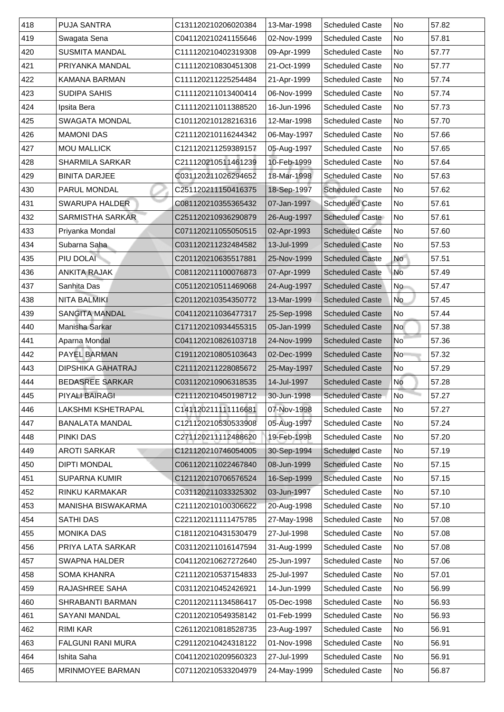| 418 | <b>PUJA SANTRA</b>        | C131120210206020384 | 13-Mar-1998 | <b>Scheduled Caste</b> | No                       | 57.82 |
|-----|---------------------------|---------------------|-------------|------------------------|--------------------------|-------|
| 419 | Swagata Sena              | C041120210241155646 | 02-Nov-1999 | <b>Scheduled Caste</b> | No                       | 57.81 |
| 420 | <b>SUSMITA MANDAL</b>     | C111120210402319308 | 09-Apr-1999 | <b>Scheduled Caste</b> | No                       | 57.77 |
| 421 | PRIYANKA MANDAL           | C111120210830451308 | 21-Oct-1999 | <b>Scheduled Caste</b> | No                       | 57.77 |
| 422 | <b>KAMANA BARMAN</b>      | C111120211225254484 | 21-Apr-1999 | <b>Scheduled Caste</b> | No                       | 57.74 |
| 423 | <b>SUDIPA SAHIS</b>       | C111120211013400414 | 06-Nov-1999 | <b>Scheduled Caste</b> | No                       | 57.74 |
| 424 | Ipsita Bera               | C111120211011388520 | 16-Jun-1996 | <b>Scheduled Caste</b> | No                       | 57.73 |
| 425 | <b>SWAGATA MONDAL</b>     | C101120210128216316 | 12-Mar-1998 | <b>Scheduled Caste</b> | <b>No</b>                | 57.70 |
| 426 | <b>MAMONI DAS</b>         | C211120210116244342 | 06-May-1997 | <b>Scheduled Caste</b> | No                       | 57.66 |
| 427 | <b>MOU MALLICK</b>        | C121120211259389157 | 05-Aug-1997 | <b>Scheduled Caste</b> | <b>No</b>                | 57.65 |
| 428 | <b>SHARMILA SARKAR</b>    | C211120210511461239 | 10-Feb-1999 | <b>Scheduled Caste</b> | No                       | 57.64 |
| 429 | <b>BINITA DARJEE</b>      | C031120211026294652 | 18-Mar-1998 | <b>Scheduled Caste</b> | <b>No</b>                | 57.63 |
| 430 | <b>PARUL MONDAL</b>       | C251120211150416375 | 18-Sep-1997 | <b>Scheduled Caste</b> | No                       | 57.62 |
| 431 | <b>SWARUPA HALDER</b>     | C081120210355365432 | 07-Jan-1997 | <b>Scheduled Caste</b> | No                       | 57.61 |
| 432 | <b>SARMISTHA SARKAR</b>   | C251120210936290879 | 26-Aug-1997 | <b>Scheduled Caste</b> | No                       | 57.61 |
| 433 | Priyanka Mondal           | C071120211055050515 | 02-Apr-1993 | <b>Scheduled Caste</b> | No                       | 57.60 |
| 434 | Subarna Saha              | C031120211232484582 | 13-Jul-1999 | <b>Scheduled Caste</b> | No                       | 57.53 |
| 435 | PIU DOLAI                 | C201120210635517881 | 25-Nov-1999 | <b>Scheduled Caste</b> | <b>No</b>                | 57.51 |
| 436 | <b>ANKITA RAJAK</b>       | C081120211100076873 | 07-Apr-1999 | <b>Scheduled Caste</b> | No                       | 57.49 |
| 437 | <b>Sanhita Das</b>        | C051120210511469068 | 24-Aug-1997 | <b>Scheduled Caste</b> | No                       | 57.47 |
| 438 | <b>NITA BALMIKI</b>       | C201120210354350772 | 13-Mar-1999 | <b>Scheduled Caste</b> | No                       | 57.45 |
| 439 | <b>SANGITA MANDAL</b>     | C041120211036477317 | 25-Sep-1998 | <b>Scheduled Caste</b> | No                       | 57.44 |
| 440 | Manisha Sarkar            | C171120210934455315 | 05-Jan-1999 | <b>Scheduled Caste</b> | <b>No</b>                | 57.38 |
| 441 | Aparna Mondal             | C041120210826103718 | 24-Nov-1999 | <b>Scheduled Caste</b> | $\overline{\mathsf{No}}$ | 57.36 |
| 442 | <b>PAYEL BARMAN</b>       | C191120210805103643 | 02-Dec-1999 | <b>Scheduled Caste</b> | N <sub>o</sub>           | 57.32 |
| 443 | <b>DIPSHIKA GAHATRAJ</b>  | C211120211228085672 | 25-May-1997 | <b>Scheduled Caste</b> | No                       | 57.29 |
| 444 | <b>BEDASREE SARKAR</b>    | C031120210906318535 | 14-Jul-1997 | <b>Scheduled Caste</b> | No                       | 57.28 |
| 445 | <b>PIYALI BAIRAGI</b>     | C211120210450198712 | 30-Jun-1998 | <b>Scheduled Caste</b> | No                       | 57.27 |
| 446 | <b>LAKSHMI KSHETRAPAL</b> | C141120211111116681 | 07-Nov-1998 | <b>Scheduled Caste</b> | No                       | 57.27 |
| 447 | <b>BANALATA MANDAL</b>    | C121120210530533908 | 05-Aug-1997 | <b>Scheduled Caste</b> | No                       | 57.24 |
| 448 | <b>PINKI DAS</b>          | C271120211112488620 | 19-Feb-1998 | <b>Scheduled Caste</b> | No                       | 57.20 |
| 449 | <b>AROTI SARKAR</b>       | C121120210746054005 | 30-Sep-1994 | <b>Scheduled Caste</b> | No                       | 57.19 |
| 450 | <b>DIPTI MONDAL</b>       | C061120211022467840 | 08-Jun-1999 | <b>Scheduled Caste</b> | No                       | 57.15 |
| 451 | <b>SUPARNA KUMIR</b>      | C121120210706576524 | 16-Sep-1999 | <b>Scheduled Caste</b> | No                       | 57.15 |
| 452 | <b>RINKU KARMAKAR</b>     | C031120211033325302 | 03-Jun-1997 | <b>Scheduled Caste</b> | No                       | 57.10 |
| 453 | <b>MANISHA BISWAKARMA</b> | C211120210100306622 | 20-Aug-1998 | <b>Scheduled Caste</b> | No                       | 57.10 |
| 454 | <b>SATHI DAS</b>          | C221120211111475785 | 27-May-1998 | <b>Scheduled Caste</b> | No                       | 57.08 |
| 455 | <b>MONIKA DAS</b>         | C181120210431530479 | 27-Jul-1998 | <b>Scheduled Caste</b> | No                       | 57.08 |
| 456 | PRIYA LATA SARKAR         | C031120211016147594 | 31-Aug-1999 | <b>Scheduled Caste</b> | <b>No</b>                | 57.08 |
| 457 | <b>SWAPNA HALDER</b>      | C041120210627272640 | 25-Jun-1997 | <b>Scheduled Caste</b> | <b>No</b>                | 57.06 |
| 458 | <b>SOMA KHANRA</b>        | C211120210537154833 | 25-Jul-1997 | <b>Scheduled Caste</b> | <b>No</b>                | 57.01 |
| 459 | <b>RAJASHREE SAHA</b>     | C031120210452426921 | 14-Jun-1999 | <b>Scheduled Caste</b> | No                       | 56.99 |
| 460 | <b>SHRABANTI BARMAN</b>   | C201120211134586417 | 05-Dec-1998 | <b>Scheduled Caste</b> | No                       | 56.93 |
| 461 | <b>SAYANI MANDAL</b>      | C201120210549358142 | 01-Feb-1999 | <b>Scheduled Caste</b> | No l                     | 56.93 |
| 462 | <b>RIMI KAR</b>           | C261120210818528735 | 23-Aug-1997 | <b>Scheduled Caste</b> | No                       | 56.91 |
| 463 | <b>FALGUNI RANI MURA</b>  | C291120210424318122 | 01-Nov-1998 | <b>Scheduled Caste</b> | No                       | 56.91 |
| 464 | Ishita Saha               | C041120210209560323 | 27-Jul-1999 | <b>Scheduled Caste</b> | No                       | 56.91 |
| 465 | <b>MRINMOYEE BARMAN</b>   | C071120210533204979 | 24-May-1999 | <b>Scheduled Caste</b> | No.                      | 56.87 |
|     |                           |                     |             |                        |                          |       |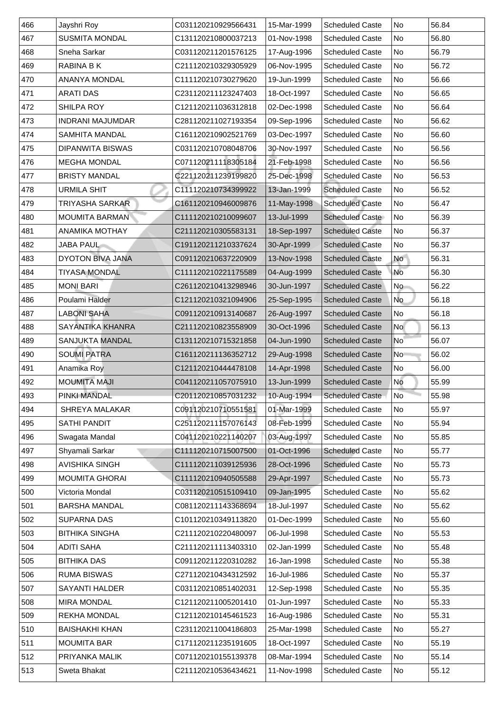| 466 | Jayshri Roy             | C031120210929566431 | 15-Mar-1999 | <b>Scheduled Caste</b> | No                       | 56.84 |
|-----|-------------------------|---------------------|-------------|------------------------|--------------------------|-------|
| 467 | <b>SUSMITA MONDAL</b>   | C131120210800037213 | 01-Nov-1998 | <b>Scheduled Caste</b> | No                       | 56.80 |
| 468 | <b>Sneha Sarkar</b>     | C031120211201576125 | 17-Aug-1996 | <b>Scheduled Caste</b> | No                       | 56.79 |
| 469 | RABINA B K              | C211120210329305929 | 06-Nov-1995 | <b>Scheduled Caste</b> | No                       | 56.72 |
| 470 | <b>ANANYA MONDAL</b>    | C111120210730279620 | 19-Jun-1999 | <b>Scheduled Caste</b> | No                       | 56.66 |
| 471 | <b>ARATI DAS</b>        | C231120211123247403 | 18-Oct-1997 | <b>Scheduled Caste</b> | N <sub>o</sub>           | 56.65 |
| 472 | <b>SHILPA ROY</b>       | C121120211036312818 | 02-Dec-1998 | <b>Scheduled Caste</b> | No                       | 56.64 |
| 473 | <b>INDRANI MAJUMDAR</b> | C281120211027193354 | 09-Sep-1996 | <b>Scheduled Caste</b> | No                       | 56.62 |
| 474 | <b>SAMHITA MANDAL</b>   | C161120210902521769 | 03-Dec-1997 | <b>Scheduled Caste</b> | No                       | 56.60 |
| 475 | <b>DIPANWITA BISWAS</b> | C031120210708048706 | 30-Nov-1997 | <b>Scheduled Caste</b> | No                       | 56.56 |
| 476 | <b>MEGHA MONDAL</b>     | C071120211118305184 | 21-Feb-1998 | <b>Scheduled Caste</b> | No                       | 56.56 |
| 477 | <b>BRISTY MANDAL</b>    | C221120211239199820 | 25-Dec-1998 | <b>Scheduled Caste</b> | No                       | 56.53 |
| 478 | <b>URMILA SHIT</b>      | C111120210734399922 | 13-Jan-1999 | <b>Scheduled Caste</b> | No                       | 56.52 |
| 479 | <b>TRIYASHA SARKAR</b>  | C161120210946009876 | 11-May-1998 | <b>Scheduled Caste</b> | No                       | 56.47 |
| 480 | <b>MOUMITA BARMAN</b>   | C111120210210099607 | 13-Jul-1999 | <b>Scheduled Caste</b> | No                       | 56.39 |
| 481 | <b>ANAMIKA MOTHAY</b>   | C211120210305583131 | 18-Sep-1997 | <b>Scheduled Caste</b> | No                       | 56.37 |
| 482 | <b>JABA PAUL</b>        | C191120211210337624 | 30-Apr-1999 | <b>Scheduled Caste</b> | No                       | 56.37 |
| 483 | <b>DYOTON BIVA JANA</b> | C091120210637220909 | 13-Nov-1998 | <b>Scheduled Caste</b> | <b>No</b>                | 56.31 |
| 484 | <b>TIYASA MONDAL</b>    | C111120210221175589 | 04-Aug-1999 | <b>Scheduled Caste</b> | No                       | 56.30 |
| 485 | <b>MONI BARI</b>        | C261120210413298946 | 30-Jun-1997 | <b>Scheduled Caste</b> | No                       | 56.22 |
| 486 | Poulami Halder          | C121120210321094906 | 25-Sep-1995 | <b>Scheduled Caste</b> | No                       | 56.18 |
| 487 | <b>LABONI SAHA</b>      | C091120210913140687 | 26-Aug-1997 | <b>Scheduled Caste</b> | No                       | 56.18 |
| 488 | <b>SAYANTIKA KHANRA</b> | C211120210823558909 | 30-Oct-1996 | <b>Scheduled Caste</b> | <b>No</b>                | 56.13 |
| 489 | <b>SANJUKTA MANDAL</b>  | C131120210715321858 | 04-Jun-1990 | <b>Scheduled Caste</b> | $\overline{\mathsf{No}}$ | 56.07 |
| 490 | <b>SOUMI PATRA</b>      | C161120211136352712 | 29-Aug-1998 | <b>Scheduled Caste</b> | No                       | 56.02 |
| 491 | Anamika Roy             | C121120210444478108 | 14-Apr-1998 | <b>Scheduled Caste</b> | No                       | 56.00 |
| 492 | <b>MOUMITA MAJI</b>     | C041120211057075910 | 13-Jun-1999 | <b>Scheduled Caste</b> | <b>No</b>                | 55.99 |
| 493 | <b>PINKI MANDAL</b>     | C201120210857031232 | 10-Aug-1994 | <b>Scheduled Caste</b> | No                       | 55.98 |
| 494 | <b>SHREYA MALAKAR</b>   | C091120210710551581 | 01-Mar-1999 | <b>Scheduled Caste</b> | No                       | 55.97 |
| 495 | <b>SATHI PANDIT</b>     | C251120211157076143 | 08-Feb-1999 | <b>Scheduled Caste</b> | No                       | 55.94 |
| 496 | Swagata Mandal          | C041120210221140207 | 03-Aug-1997 | <b>Scheduled Caste</b> | No                       | 55.85 |
| 497 | Shyamali Sarkar         | C111120210715007500 | 01-Oct-1996 | <b>Scheduled Caste</b> | No                       | 55.77 |
| 498 | <b>AVISHIKA SINGH</b>   | C111120211039125936 | 28-Oct-1996 | <b>Scheduled Caste</b> | No                       | 55.73 |
| 499 | <b>MOUMITA GHORAI</b>   | C111120210940505588 | 29-Apr-1997 | <b>Scheduled Caste</b> | No                       | 55.73 |
| 500 | <b>Victoria Mondal</b>  | C031120210515109410 | 09-Jan-1995 | <b>Scheduled Caste</b> | No                       | 55.62 |
| 501 | <b>BARSHA MANDAL</b>    | C081120211143368694 | 18-Jul-1997 | <b>Scheduled Caste</b> | No                       | 55.62 |
| 502 | <b>SUPARNA DAS</b>      | C101120210349113820 | 01-Dec-1999 | <b>Scheduled Caste</b> | No                       | 55.60 |
| 503 | <b>BITHIKA SINGHA</b>   | C211120210220480097 | 06-Jul-1998 | <b>Scheduled Caste</b> | No                       | 55.53 |
| 504 | <b>ADITI SAHA</b>       | C211120211113403310 | 02-Jan-1999 | <b>Scheduled Caste</b> | No                       | 55.48 |
| 505 | <b>BITHIKA DAS</b>      | C091120211220310282 | 16-Jan-1998 | <b>Scheduled Caste</b> | No                       | 55.38 |
| 506 | <b>RUMA BISWAS</b>      | C271120210434312592 | 16-Jul-1986 | <b>Scheduled Caste</b> | No                       | 55.37 |
| 507 | <b>SAYANTI HALDER</b>   | C031120210851402031 | 12-Sep-1998 | <b>Scheduled Caste</b> | No No                    | 55.35 |
| 508 | <b>MIRA MONDAL</b>      | C121120211005201410 | 01-Jun-1997 | <b>Scheduled Caste</b> | No                       | 55.33 |
| 509 | <b>REKHA MONDAL</b>     | C121120210145461523 | 16-Aug-1986 | <b>Scheduled Caste</b> | No                       | 55.31 |
| 510 | <b>BAISHAKHI KHAN</b>   | C231120211004186803 | 25-Mar-1998 | <b>Scheduled Caste</b> | No                       | 55.27 |
| 511 | <b>MOUMITA BAR</b>      | C171120211235191605 | 18-Oct-1997 | <b>Scheduled Caste</b> | No                       | 55.19 |
| 512 | <b>PRIYANKA MALIK</b>   | C071120210155139378 | 08-Mar-1994 | <b>Scheduled Caste</b> | No                       | 55.14 |
| 513 | <b>Sweta Bhakat</b>     | C211120210536434621 | 11-Nov-1998 | <b>Scheduled Caste</b> | No                       | 55.12 |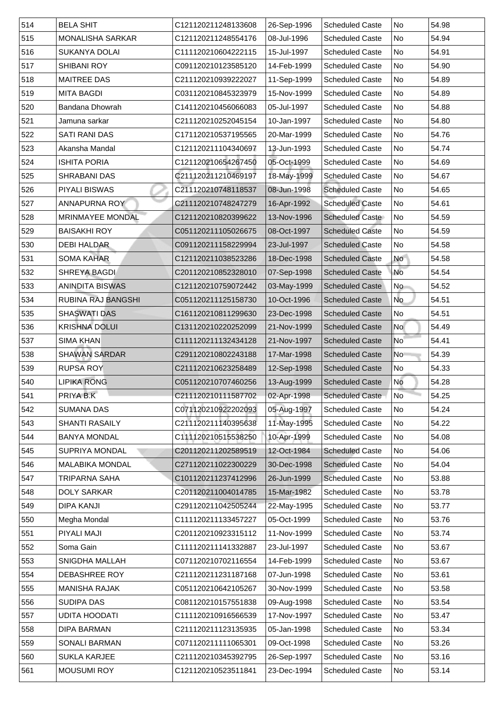| 514 | <b>BELA SHIT</b>          | C121120211248133608 | 26-Sep-1996 | <b>Scheduled Caste</b> | No                       | 54.98 |
|-----|---------------------------|---------------------|-------------|------------------------|--------------------------|-------|
| 515 | <b>MONALISHA SARKAR</b>   | C121120211248554176 | 08-Jul-1996 | <b>Scheduled Caste</b> | No                       | 54.94 |
| 516 | <b>SUKANYA DOLAI</b>      | C111120210604222115 | 15-Jul-1997 | <b>Scheduled Caste</b> | No                       | 54.91 |
| 517 | <b>SHIBANI ROY</b>        | C091120210123585120 | 14-Feb-1999 | <b>Scheduled Caste</b> | No                       | 54.90 |
| 518 | <b>MAITREE DAS</b>        | C211120210939222027 | 11-Sep-1999 | <b>Scheduled Caste</b> | <b>No</b>                | 54.89 |
| 519 | <b>MITA BAGDI</b>         | C031120210845323979 | 15-Nov-1999 | <b>Scheduled Caste</b> | No                       | 54.89 |
| 520 | <b>Bandana Dhowrah</b>    | C141120210456066083 | 05-Jul-1997 | <b>Scheduled Caste</b> | No                       | 54.88 |
| 521 | Jamuna sarkar             | C211120210252045154 | 10-Jan-1997 | <b>Scheduled Caste</b> | No                       | 54.80 |
| 522 | <b>SATI RANI DAS</b>      | C171120210537195565 | 20-Mar-1999 | <b>Scheduled Caste</b> | <b>No</b>                | 54.76 |
| 523 | Akansha Mandal            | C121120211104340697 | 13-Jun-1993 | <b>Scheduled Caste</b> | <b>No</b>                | 54.74 |
| 524 | <b>ISHITA PORIA</b>       | C121120210654267450 | 05-Oct-1999 | <b>Scheduled Caste</b> | No                       | 54.69 |
| 525 | <b>SHRABANI DAS</b>       | C211120211210469197 | 18-May-1999 | <b>Scheduled Caste</b> | No                       | 54.67 |
| 526 | <b>PIYALI BISWAS</b>      | C211120210748118537 | 08-Jun-1998 | <b>Scheduled Caste</b> | No                       | 54.65 |
| 527 | <b>ANNAPURNA ROY</b>      | C211120210748247279 | 16-Apr-1992 | <b>Scheduled Caste</b> | No                       | 54.61 |
| 528 | <b>MRINMAYEE MONDAL</b>   | C121120210820399622 | 13-Nov-1996 | <b>Scheduled Caste</b> | No                       | 54.59 |
| 529 | <b>BAISAKHI ROY</b>       | C051120211105026675 | 08-Oct-1997 | <b>Scheduled Caste</b> | No                       | 54.59 |
| 530 | <b>DEBI HALDAR</b>        | C091120211158229994 | 23-Jul-1997 | <b>Scheduled Caste</b> | <b>No</b>                | 54.58 |
| 531 | <b>SOMA KAHAR</b>         | C121120211038523286 | 18-Dec-1998 | <b>Scheduled Caste</b> | <b>No</b>                | 54.58 |
| 532 | <b>SHREYA BAGDI</b>       | C201120210852328010 | 07-Sep-1998 | <b>Scheduled Caste</b> | No                       | 54.54 |
| 533 | <b>ANINDITA BISWAS</b>    | C121120210759072442 | 03-May-1999 | <b>Scheduled Caste</b> | No                       | 54.52 |
| 534 | <b>RUBINA RAJ BANGSHI</b> | C051120211125158730 | 10-Oct-1996 | <b>Scheduled Caste</b> | No                       | 54.51 |
| 535 | <b>SHASWATI DAS</b>       | C161120210811299630 | 23-Dec-1998 | <b>Scheduled Caste</b> | No                       | 54.51 |
| 536 | <b>KRISHNA DOLUI</b>      | C131120210220252099 | 21-Nov-1999 | <b>Scheduled Caste</b> | <b>No</b>                | 54.49 |
| 537 | <b>SIMA KHAN</b>          | C111120211132434128 | 21-Nov-1997 | <b>Scheduled Caste</b> | $\overline{\mathsf{No}}$ | 54.41 |
| 538 | <b>SHAWAN SARDAR</b>      | C291120210802243188 | 17-Mar-1998 | <b>Scheduled Caste</b> | N <sub>o</sub>           | 54.39 |
| 539 | <b>RUPSA ROY</b>          | C211120210623258489 | 12-Sep-1998 | <b>Scheduled Caste</b> | No                       | 54.33 |
| 540 | <b>LIPIKA RONG</b>        | C051120210707460256 | 13-Aug-1999 | <b>Scheduled Caste</b> | No                       | 54.28 |
| 541 | PRIYA B.K                 | C211120210111587702 | 02-Apr-1998 | <b>Scheduled Caste</b> | No                       | 54.25 |
| 542 | <b>SUMANA DAS</b>         | C071120210922202093 | 05-Aug-1997 | <b>Scheduled Caste</b> | No                       | 54.24 |
| 543 | <b>SHANTI RASAILY</b>     | C211120211140395638 | 11-May-1995 | <b>Scheduled Caste</b> | No                       | 54.22 |
| 544 | <b>BANYA MONDAL</b>       | C111120210515538250 | 10-Apr-1999 | <b>Scheduled Caste</b> | No                       | 54.08 |
| 545 | <b>SUPRIYA MONDAL</b>     | C201120211202589519 | 12-Oct-1984 | <b>Scheduled Caste</b> | No                       | 54.06 |
| 546 | <b>MALABIKA MONDAL</b>    | C271120211022300229 | 30-Dec-1998 | <b>Scheduled Caste</b> | <b>No</b>                | 54.04 |
| 547 | TRIPARNA SAHA             | C101120211237412996 | 26-Jun-1999 | <b>Scheduled Caste</b> | <b>No</b>                | 53.88 |
| 548 | <b>DOLY SARKAR</b>        | C201120211004014785 | 15-Mar-1982 | <b>Scheduled Caste</b> | No                       | 53.78 |
| 549 | <b>DIPA KANJI</b>         | C291120211042505244 | 22-May-1995 | <b>Scheduled Caste</b> | <b>No</b>                | 53.77 |
| 550 | Megha Mondal              | C111120211133457227 | 05-Oct-1999 | <b>Scheduled Caste</b> | No                       | 53.76 |
| 551 | <b>PIYALI MAJI</b>        | C201120210923315112 | 11-Nov-1999 | <b>Scheduled Caste</b> | No                       | 53.74 |
| 552 | Soma Gain                 | C111120211141332887 | 23-Jul-1997 | <b>Scheduled Caste</b> | <b>No</b>                | 53.67 |
| 553 | <b>SNIGDHA MALLAH</b>     | C071120210702116554 | 14-Feb-1999 | <b>Scheduled Caste</b> | <b>No</b>                | 53.67 |
| 554 | <b>DEBASHREE ROY</b>      | C211120211231187168 | 07-Jun-1998 | <b>Scheduled Caste</b> | <b>No</b>                | 53.61 |
| 555 | <b>MANISHA RAJAK</b>      | C051120210642105267 | 30-Nov-1999 | <b>Scheduled Caste</b> | No l                     | 53.58 |
| 556 | <b>SUDIPA DAS</b>         | C081120210157551838 | 09-Aug-1998 | <b>Scheduled Caste</b> | No                       | 53.54 |
| 557 | <b>UDITA HOODATI</b>      | C111120210916566539 | 17-Nov-1997 | <b>Scheduled Caste</b> | No                       | 53.47 |
| 558 | <b>DIPA BARMAN</b>        | C211120211123135935 | 05-Jan-1998 | <b>Scheduled Caste</b> | No                       | 53.34 |
| 559 | <b>SONALI BARMAN</b>      | C071120211111065301 | 09-Oct-1998 | <b>Scheduled Caste</b> | No.                      | 53.26 |
| 560 | <b>SUKLA KARJEE</b>       | C211120210345392795 | 26-Sep-1997 | <b>Scheduled Caste</b> | No                       | 53.16 |
| 561 | <b>MOUSUMI ROY</b>        | C121120210523511841 | 23-Dec-1994 | <b>Scheduled Caste</b> | No                       | 53.14 |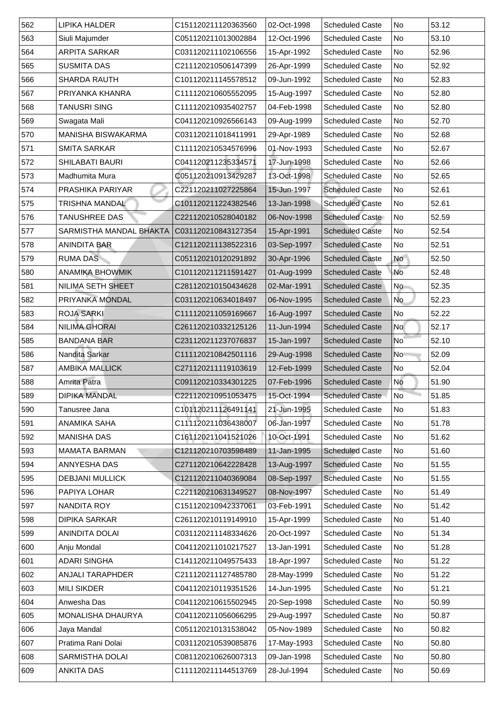| 562 | <b>LIPIKA HALDER</b>           | C151120211120363560 | 02-Oct-1998 | <b>Scheduled Caste</b> | No                       | 53.12 |
|-----|--------------------------------|---------------------|-------------|------------------------|--------------------------|-------|
| 563 | Siuli Majumder                 | C051120211013002884 | 12-Oct-1996 | <b>Scheduled Caste</b> | No                       | 53.10 |
| 564 | <b>ARPITA SARKAR</b>           | C031120211102106556 | 15-Apr-1992 | <b>Scheduled Caste</b> | No                       | 52.96 |
| 565 | <b>SUSMITA DAS</b>             | C211120210506147399 | 26-Apr-1999 | <b>Scheduled Caste</b> | No                       | 52.92 |
| 566 | <b>SHARDA RAUTH</b>            | C101120211145578512 | 09-Jun-1992 | <b>Scheduled Caste</b> | No                       | 52.83 |
| 567 | PRIYANKA KHANRA                | C111120210605552095 | 15-Aug-1997 | <b>Scheduled Caste</b> | No                       | 52.80 |
| 568 | TANUSRI SING                   | C111120210935402757 | 04-Feb-1998 | <b>Scheduled Caste</b> | No                       | 52.80 |
| 569 | Swagata Mali                   | C041120210926566143 | 09-Aug-1999 | <b>Scheduled Caste</b> | <b>No</b>                | 52.70 |
| 570 | <b>MANISHA BISWAKARMA</b>      | C031120211018411991 | 29-Apr-1989 | <b>Scheduled Caste</b> | <b>No</b>                | 52.68 |
| 571 | <b>SMITA SARKAR</b>            | C111120210534576996 | 01-Nov-1993 | <b>Scheduled Caste</b> | <b>No</b>                | 52.67 |
| 572 | <b>SHILABATI BAURI</b>         | C041120211235334571 | 17-Jun-1998 | <b>Scheduled Caste</b> | No                       | 52.66 |
| 573 | Madhumita Mura                 | C051120210913429287 | 13-Oct-1998 | <b>Scheduled Caste</b> | <b>No</b>                | 52.65 |
| 574 | <b>PRASHIKA PARIYAR</b>        | C221120211027225864 | 15-Jun-1997 | <b>Scheduled Caste</b> | No                       | 52.61 |
| 575 | <b>TRISHNA MANDAL</b>          | C101120211224382546 | 13-Jan-1998 | <b>Scheduled Caste</b> | No                       | 52.61 |
| 576 | <b>TANUSHREE DAS</b>           | C221120210528040182 | 06-Nov-1998 | <b>Scheduled Caste</b> | No                       | 52.59 |
| 577 | <b>SARMISTHA MANDAL BHAKTA</b> | C031120210843127354 | 15-Apr-1991 | <b>Scheduled Caste</b> | No                       | 52.54 |
| 578 | <b>ANINDITA BAR</b>            | C121120211138522316 | 03-Sep-1997 | <b>Scheduled Caste</b> | No                       | 52.51 |
| 579 | <b>RUMA DAS</b>                | C051120210120291892 | 30-Apr-1996 | <b>Scheduled Caste</b> | <b>No</b>                | 52.50 |
| 580 | <b>ANAMIKA BHOWMIK</b>         | C101120211211591427 | 01-Aug-1999 | <b>Scheduled Caste</b> | No                       | 52.48 |
| 581 | <b>NILIMA SETH SHEET</b>       | C281120210150434628 | 02-Mar-1991 | <b>Scheduled Caste</b> | No                       | 52.35 |
| 582 | PRIYANKA MONDAL                | C031120210634018497 | 06-Nov-1995 | <b>Scheduled Caste</b> | No                       | 52.23 |
| 583 | <b>ROJA SARKI</b>              | C111120211059169667 | 16-Aug-1997 | <b>Scheduled Caste</b> | No                       | 52.22 |
| 584 | <b>NILIMA GHORAI</b>           | C261120210332125126 | 11-Jun-1994 | <b>Scheduled Caste</b> | <b>No</b>                | 52.17 |
| 585 | <b>BANDANA BAR</b>             | C231120211237076837 | 15-Jan-1997 | <b>Scheduled Caste</b> | $\overline{\mathsf{No}}$ | 52.10 |
| 586 | Nandita Sarkar                 | C111120210842501116 | 29-Aug-1998 | <b>Scheduled Caste</b> | N <sub>o</sub>           | 52.09 |
| 587 | <b>AMBIKA MALLICK</b>          | C271120211119103619 | 12-Feb-1999 | <b>Scheduled Caste</b> | No                       | 52.04 |
| 588 | <b>Amrita Patra</b>            | C091120210334301225 | 07-Feb-1996 | <b>Scheduled Caste</b> | <b>No</b>                | 51.90 |
| 589 | <b>DIPIKA MANDAL</b>           | C221120210951053475 | 15-Oct-1994 | <b>Scheduled Caste</b> | No                       | 51.85 |
| 590 | Tanusree Jana                  | C101120211126491141 | 21-Jun-1995 | <b>Scheduled Caste</b> | No                       | 51.83 |
| 591 | <b>ANAMIKA SAHA</b>            | C111120211036438007 | 06-Jan-1997 | <b>Scheduled Caste</b> | No                       | 51.78 |
| 592 | <b>MANISHA DAS</b>             | C161120211041521026 | 10-Oct-1991 | <b>Scheduled Caste</b> | No                       | 51.62 |
| 593 | <b>MAMATA BARMAN</b>           | C121120210703598489 | 11-Jan-1995 | <b>Scheduled Caste</b> | No                       | 51.60 |
| 594 | <b>ANNYESHA DAS</b>            | C271120210642228428 | 13-Aug-1997 | <b>Scheduled Caste</b> | No                       | 51.55 |
| 595 | <b>DEBJANI MULLICK</b>         | C121120211040369084 | 08-Sep-1997 | <b>Scheduled Caste</b> | <b>No</b>                | 51.55 |
| 596 | <b>PAPIYA LOHAR</b>            | C221120210631349527 | 08-Nov-1997 | <b>Scheduled Caste</b> | No                       | 51.49 |
| 597 | NANDITA ROY                    | C151120210942337061 | 03-Feb-1991 | <b>Scheduled Caste</b> | No                       | 51.42 |
| 598 | <b>DIPIKA SARKAR</b>           | C261120210119149910 | 15-Apr-1999 | <b>Scheduled Caste</b> | No                       | 51.40 |
| 599 | <b>ANINDITA DOLAI</b>          | C031120211148334626 | 20-Oct-1997 | <b>Scheduled Caste</b> | No                       | 51.34 |
| 600 | Anju Mondal                    | C041120211010217527 | 13-Jan-1991 | <b>Scheduled Caste</b> | <b>No</b>                | 51.28 |
| 601 | <b>ADARI SINGHA</b>            | C141120211049575433 | 18-Apr-1997 | <b>Scheduled Caste</b> | <b>No</b>                | 51.22 |
| 602 | <b>ANJALI TARAPHDER</b>        | C211120211127485780 | 28-May-1999 | <b>Scheduled Caste</b> | No                       | 51.22 |
| 603 | <b>MILI SIKDER</b>             | C041120210119351526 | 14-Jun-1995 | <b>Scheduled Caste</b> | No                       | 51.21 |
| 604 | Anwesha Das                    | C041120210615502945 | 20-Sep-1998 | <b>Scheduled Caste</b> | No                       | 50.99 |
| 605 | <b>MONALISHA DHAURYA</b>       | C041120211056066295 | 29-Aug-1997 | <b>Scheduled Caste</b> | No.                      | 50.87 |
| 606 | Jaya Mandal                    | C051120210131538042 | 05-Nov-1989 | <b>Scheduled Caste</b> | No                       | 50.82 |
| 607 | Pratima Rani Dolai             | C031120210539085876 | 17-May-1993 | <b>Scheduled Caste</b> | No                       | 50.80 |
| 608 | <b>SARMISTHA DOLAI</b>         | C081120210626007313 | 09-Jan-1998 | <b>Scheduled Caste</b> | No                       | 50.80 |
| 609 | <b>ANKITA DAS</b>              | C111120211144513769 | 28-Jul-1994 | <b>Scheduled Caste</b> | No.                      | 50.69 |
|     |                                |                     |             |                        |                          |       |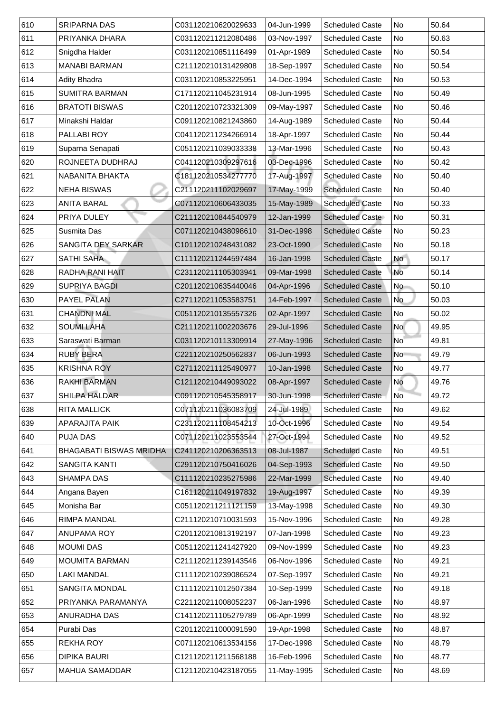| 610 | <b>SRIPARNA DAS</b>            | C031120210620029633 | 04-Jun-1999 | <b>Scheduled Caste</b> | No              | 50.64 |
|-----|--------------------------------|---------------------|-------------|------------------------|-----------------|-------|
| 611 | PRIYANKA DHARA                 | C031120211212080486 | 03-Nov-1997 | <b>Scheduled Caste</b> | No              | 50.63 |
| 612 | Snigdha Halder                 | C031120210851116499 | 01-Apr-1989 | <b>Scheduled Caste</b> | <b>No</b>       | 50.54 |
| 613 | <b>MANABI BARMAN</b>           | C211120210131429808 | 18-Sep-1997 | <b>Scheduled Caste</b> | No              | 50.54 |
| 614 | <b>Adity Bhadra</b>            | C031120210853225951 | 14-Dec-1994 | <b>Scheduled Caste</b> | <b>No</b>       | 50.53 |
| 615 | <b>SUMITRA BARMAN</b>          | C171120211045231914 | 08-Jun-1995 | <b>Scheduled Caste</b> | No              | 50.49 |
| 616 | <b>BRATOTI BISWAS</b>          | C201120210723321309 | 09-May-1997 | <b>Scheduled Caste</b> | No              | 50.46 |
| 617 | Minakshi Haldar                | C091120210821243860 | 14-Aug-1989 | <b>Scheduled Caste</b> | <b>No</b>       | 50.44 |
| 618 | <b>PALLABI ROY</b>             | C041120211234266914 | 18-Apr-1997 | <b>Scheduled Caste</b> | No              | 50.44 |
| 619 | Suparna Senapati               | C051120211039033338 | 13-Mar-1996 | <b>Scheduled Caste</b> | <b>No</b>       | 50.43 |
| 620 | ROJNEETA DUDHRAJ               | C041120210309297616 | 03-Dec-1996 | <b>Scheduled Caste</b> | No              | 50.42 |
| 621 | <b>NABANITA BHAKTA</b>         | C181120210534277770 | 17-Aug-1997 | <b>Scheduled Caste</b> | <b>No</b>       | 50.40 |
| 622 | <b>NEHA BISWAS</b>             | C211120211102029697 | 17-May-1999 | <b>Scheduled Caste</b> | No              | 50.40 |
| 623 | <b>ANITA BARAL</b>             | C071120210606433035 | 15-May-1989 | <b>Scheduled Caste</b> | No              | 50.33 |
| 624 | PRIYA DULEY                    | C211120210844540979 | 12-Jan-1999 | <b>Scheduled Caste</b> | No              | 50.31 |
| 625 | <b>Susmita Das</b>             | C071120210438098610 | 31-Dec-1998 | <b>Scheduled Caste</b> | No              | 50.23 |
| 626 | <b>SANGITA DEY SARKAR</b>      | C101120210248431082 | 23-Oct-1990 | <b>Scheduled Caste</b> | No              | 50.18 |
| 627 | <b>SATHI SAHA</b>              | C111120211244597484 | 16-Jan-1998 | <b>Scheduled Caste</b> | No              | 50.17 |
| 628 | <b>RADHA RANI HAIT</b>         | C231120211105303941 | 09-Mar-1998 | <b>Scheduled Caste</b> | No              | 50.14 |
| 629 | <b>SUPRIYA BAGDI</b>           | C201120210635440046 | 04-Apr-1996 | <b>Scheduled Caste</b> | No              | 50.10 |
| 630 | <b>PAYEL PALAN</b>             | C271120211053583751 | 14-Feb-1997 | <b>Scheduled Caste</b> | No              | 50.03 |
| 631 | <b>CHANDNI MAL</b>             | C051120210135557326 | 02-Apr-1997 | <b>Scheduled Caste</b> | No              | 50.02 |
| 632 | <b>SOUMI LAHA</b>              | C211120211002203676 | 29-Jul-1996 | <b>Scheduled Caste</b> | <b>No</b>       | 49.95 |
| 633 | Saraswati Barman               | C031120210113309914 | 27-May-1996 | <b>Scheduled Caste</b> | No <sup>-</sup> | 49.81 |
| 634 | <b>RUBY BERA</b>               | C221120210250562837 | 06-Jun-1993 | <b>Scheduled Caste</b> | N <sub>o</sub>  | 49.79 |
| 635 | <b>KRISHNA ROY</b>             | C271120211125490977 | 10-Jan-1998 | <b>Scheduled Caste</b> | No              | 49.77 |
| 636 | <b>RAKHI BARMAN</b>            | C121120210449093022 | 08-Apr-1997 | <b>Scheduled Caste</b> | No              | 49.76 |
| 637 | <b>SHILPA HALDAR</b>           | C091120210545358917 | 30-Jun-1998 | <b>Scheduled Caste</b> | <b>No</b>       | 49.72 |
| 638 | <b>RITA MALLICK</b>            | C071120211036083709 | 24-Jul-1989 | <b>Scheduled Caste</b> | No              | 49.62 |
| 639 | <b>APARAJITA PAIK</b>          | C231120211108454213 | 10-Oct-1996 | <b>Scheduled Caste</b> | No              | 49.54 |
| 640 | <b>PUJA DAS</b>                | C071120211023553544 | 27-Oct-1994 | <b>Scheduled Caste</b> | No              | 49.52 |
| 641 | <b>BHAGABATI BISWAS MRIDHA</b> | C241120210206363513 | 08-Jul-1987 | <b>Scheduled Caste</b> | No              | 49.51 |
| 642 | <b>SANGITA KANTI</b>           | C291120210750416026 | 04-Sep-1993 | <b>Scheduled Caste</b> | No              | 49.50 |
| 643 | <b>SHAMPA DAS</b>              | C111120210235275986 | 22-Mar-1999 | <b>Scheduled Caste</b> | No              | 49.40 |
| 644 | Angana Bayen                   | C161120211049197832 | 19-Aug-1997 | <b>Scheduled Caste</b> | No              | 49.39 |
| 645 | Monisha Bar                    | C051120211211121159 | 13-May-1998 | <b>Scheduled Caste</b> | <b>No</b>       | 49.30 |
| 646 | <b>RIMPA MANDAL</b>            | C211120210710031593 | 15-Nov-1996 | <b>Scheduled Caste</b> | No              | 49.28 |
| 647 | <b>ANUPAMA ROY</b>             | C201120210813192197 | 07-Jan-1998 | <b>Scheduled Caste</b> | No              | 49.23 |
| 648 | <b>MOUMI DAS</b>               | C051120211241427920 | 09-Nov-1999 | <b>Scheduled Caste</b> | <b>No</b>       | 49.23 |
| 649 | <b>MOUMITA BARMAN</b>          | C211120211239143546 | 06-Nov-1996 | <b>Scheduled Caste</b> | <b>No</b>       | 49.21 |
| 650 | <b>LAKI MANDAL</b>             | C111120210239086524 | 07-Sep-1997 | <b>Scheduled Caste</b> | No              | 49.21 |
| 651 | <b>SANGITA MONDAL</b>          | C111120211012507384 | 10-Sep-1999 | <b>Scheduled Caste</b> | No              | 49.18 |
| 652 | PRIYANKA PARAMANYA             | C221120211008052237 | 06-Jan-1996 | <b>Scheduled Caste</b> | No              | 48.97 |
| 653 | <b>ANURADHA DAS</b>            | C141120211105279789 | 06-Apr-1999 | <b>Scheduled Caste</b> | No.             | 48.92 |
| 654 | Purabi Das                     | C201120211000091590 | 19-Apr-1998 | <b>Scheduled Caste</b> | No              | 48.87 |
| 655 | <b>REKHA ROY</b>               | C071120210613534156 | 17-Dec-1998 | <b>Scheduled Caste</b> | No              | 48.79 |
| 656 | <b>DIPIKA BAURI</b>            | C121120211211568188 | 16-Feb-1996 | <b>Scheduled Caste</b> | No              | 48.77 |
| 657 | <b>MAHUA SAMADDAR</b>          | C121120210423187055 | 11-May-1995 | <b>Scheduled Caste</b> | No              | 48.69 |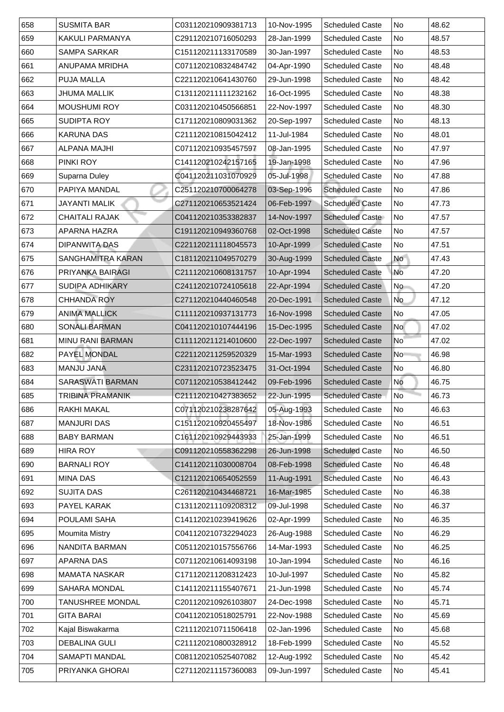| 658 | <b>SUSMITA BAR</b>       | C031120210909381713 | 10-Nov-1995 | <b>Scheduled Caste</b> | No                       | 48.62 |
|-----|--------------------------|---------------------|-------------|------------------------|--------------------------|-------|
| 659 | <b>KAKULI PARMANYA</b>   | C291120210716050293 | 28-Jan-1999 | <b>Scheduled Caste</b> | No                       | 48.57 |
| 660 | <b>SAMPA SARKAR</b>      | C151120211133170589 | 30-Jan-1997 | <b>Scheduled Caste</b> | No                       | 48.53 |
| 661 | <b>ANUPAMA MRIDHA</b>    | C071120210832484742 | 04-Apr-1990 | <b>Scheduled Caste</b> | No                       | 48.48 |
| 662 | <b>PUJA MALLA</b>        | C221120210641430760 | 29-Jun-1998 | <b>Scheduled Caste</b> | No                       | 48.42 |
| 663 | <b>JHUMA MALLIK</b>      | C131120211111232162 | 16-Oct-1995 | <b>Scheduled Caste</b> | No                       | 48.38 |
| 664 | <b>MOUSHUMI ROY</b>      | C031120210450566851 | 22-Nov-1997 | <b>Scheduled Caste</b> | No                       | 48.30 |
| 665 | <b>SUDIPTA ROY</b>       | C171120210809031362 | 20-Sep-1997 | <b>Scheduled Caste</b> | No                       | 48.13 |
| 666 | <b>KARUNA DAS</b>        | C211120210815042412 | 11-Jul-1984 | <b>Scheduled Caste</b> | No                       | 48.01 |
| 667 | <b>ALPANA MAJHI</b>      | C071120210935457597 | 08-Jan-1995 | <b>Scheduled Caste</b> | No                       | 47.97 |
| 668 | <b>PINKI ROY</b>         | C141120210242157165 | 19-Jan-1998 | <b>Scheduled Caste</b> | No                       | 47.96 |
| 669 | <b>Suparna Duley</b>     | C041120211031070929 | 05-Jul-1998 | <b>Scheduled Caste</b> | No                       | 47.88 |
| 670 | PAPIYA MANDAL            | C251120210700064278 | 03-Sep-1996 | <b>Scheduled Caste</b> | No                       | 47.86 |
| 671 | JAYANTI MALIK            | C271120210653521424 | 06-Feb-1997 | <b>Scheduled Caste</b> | No                       | 47.73 |
| 672 | <b>CHAITALI RAJAK</b>    | C041120210353382837 | 14-Nov-1997 | <b>Scheduled Caste</b> | No                       | 47.57 |
| 673 | APARNA HAZRA             | C191120210949360768 | 02-Oct-1998 | <b>Scheduled Caste</b> | No                       | 47.57 |
| 674 | <b>DIPANWITA DAS</b>     | C221120211118045573 | 10-Apr-1999 | <b>Scheduled Caste</b> | No                       | 47.51 |
| 675 | <b>SANGHAMITRA KARAN</b> | C181120211049570279 | 30-Aug-1999 | <b>Scheduled Caste</b> | <b>No</b>                | 47.43 |
| 676 | <b>PRIYANKA BAIRAGI</b>  | C211120210608131757 | 10-Apr-1994 | <b>Scheduled Caste</b> | No                       | 47.20 |
| 677 | <b>SUDIPA ADHIKARY</b>   | C241120210724105618 | 22-Apr-1994 | <b>Scheduled Caste</b> | No                       | 47.20 |
| 678 | <b>CHHANDA ROY</b>       | C271120210440460548 | 20-Dec-1991 | <b>Scheduled Caste</b> | No                       | 47.12 |
| 679 | <b>ANIMA MALLICK</b>     | C111120210937131773 | 16-Nov-1998 | <b>Scheduled Caste</b> | No                       | 47.05 |
| 680 | <b>SONALI BARMAN</b>     | C041120210107444196 | 15-Dec-1995 | <b>Scheduled Caste</b> | No                       | 47.02 |
| 681 | <b>MINU RANI BARMAN</b>  | C111120211214010600 | 22-Dec-1997 | <b>Scheduled Caste</b> | $\overline{\mathsf{No}}$ | 47.02 |
| 682 | <b>PAYEL MONDAL</b>      | C221120211259520329 | 15-Mar-1993 | <b>Scheduled Caste</b> | No                       | 46.98 |
| 683 | <b>MANJU JANA</b>        | C231120210723523475 | 31-Oct-1994 | <b>Scheduled Caste</b> | No                       | 46.80 |
| 684 | <b>SARASWATI BARMAN</b>  | C071120210538412442 | 09-Feb-1996 | <b>Scheduled Caste</b> | <b>No</b>                | 46.75 |
| 685 | <b>TRIBINA PRAMANIK</b>  | C211120210427383652 | 22-Jun-1995 | <b>Scheduled Caste</b> | No                       | 46.73 |
| 686 | <b>RAKHI MAKAL</b>       | C071120210238287642 | 05-Aug-1993 | <b>Scheduled Caste</b> | No                       | 46.63 |
| 687 | <b>MANJURI DAS</b>       | C151120210920455497 | 18-Nov-1986 | <b>Scheduled Caste</b> | No                       | 46.51 |
| 688 | <b>BABY BARMAN</b>       | C161120210929443933 | 25-Jan-1999 | <b>Scheduled Caste</b> | No                       | 46.51 |
| 689 | <b>HIRA ROY</b>          | C091120210558362298 | 26-Jun-1998 | <b>Scheduled Caste</b> | No                       | 46.50 |
| 690 | <b>BARNALI ROY</b>       | C141120211030008704 | 08-Feb-1998 | <b>Scheduled Caste</b> | No                       | 46.48 |
| 691 | <b>MINA DAS</b>          | C121120210654052559 | 11-Aug-1991 | <b>Scheduled Caste</b> | No                       | 46.43 |
| 692 | <b>SUJITA DAS</b>        | C261120210434468721 | 16-Mar-1985 | <b>Scheduled Caste</b> | No                       | 46.38 |
| 693 | PAYEL KARAK              | C131120211109208312 | 09-Jul-1998 | <b>Scheduled Caste</b> | No                       | 46.37 |
| 694 | <b>POULAMI SAHA</b>      | C141120210239419626 | 02-Apr-1999 | <b>Scheduled Caste</b> | No                       | 46.35 |
| 695 | <b>Moumita Mistry</b>    | C041120210732294023 | 26-Aug-1988 | <b>Scheduled Caste</b> | No                       | 46.29 |
| 696 | NANDITA BARMAN           | C051120210157556766 | 14-Mar-1993 | <b>Scheduled Caste</b> | No                       | 46.25 |
| 697 | <b>APARNA DAS</b>        | C071120210614093198 | 10-Jan-1994 | <b>Scheduled Caste</b> | No                       | 46.16 |
| 698 | <b>MAMATA NASKAR</b>     | C171120211208312423 | 10-Jul-1997 | <b>Scheduled Caste</b> | No                       | 45.82 |
| 699 | <b>SAHARA MONDAL</b>     | C141120211155407671 | 21-Jun-1998 | <b>Scheduled Caste</b> | No No                    | 45.74 |
| 700 | <b>TANUSHREE MONDAL</b>  | C201120210926103807 | 24-Dec-1998 | <b>Scheduled Caste</b> | No                       | 45.71 |
| 701 | <b>GITA BARAI</b>        | C041120210518025791 | 22-Nov-1988 | <b>Scheduled Caste</b> | No No                    | 45.69 |
| 702 | Kajal Biswakarma         | C211120210711506418 | 02-Jan-1996 | <b>Scheduled Caste</b> | No No                    | 45.68 |
| 703 | <b>DEBALINA GULI</b>     | C211120210800328912 | 18-Feb-1999 | <b>Scheduled Caste</b> | No No                    | 45.52 |
| 704 | <b>SAMAPTI MANDAL</b>    | C081120210525407082 | 12-Aug-1992 | <b>Scheduled Caste</b> | No                       | 45.42 |
| 705 | PRIYANKA GHORAI          | C271120211157360083 | 09-Jun-1997 | <b>Scheduled Caste</b> | No No                    | 45.41 |